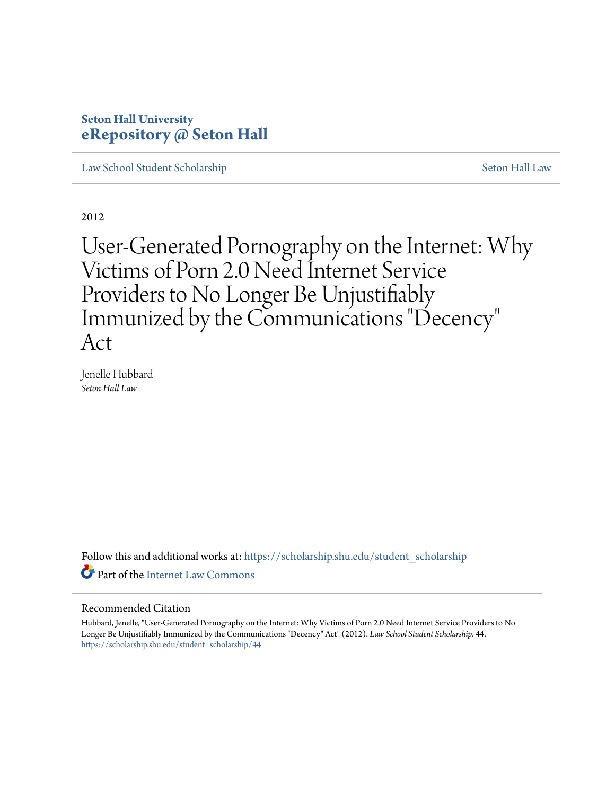# **Seton Hall University [eRepository @ Seton Hall](https://scholarship.shu.edu?utm_source=scholarship.shu.edu%2Fstudent_scholarship%2F44&utm_medium=PDF&utm_campaign=PDFCoverPages)**

[Law School Student Scholarship](https://scholarship.shu.edu/student_scholarship?utm_source=scholarship.shu.edu%2Fstudent_scholarship%2F44&utm_medium=PDF&utm_campaign=PDFCoverPages) [Seton Hall Law](https://scholarship.shu.edu/law?utm_source=scholarship.shu.edu%2Fstudent_scholarship%2F44&utm_medium=PDF&utm_campaign=PDFCoverPages)

2012

User-Generated Pornography on the Internet: Why Victims of Porn 2.0 Need Internet Service Providers to No Longer Be Unjustifiably Immunized by the Communications "Decency " Act

Jenelle Hubbard *Seton Hall Law*

Follow this and additional works at: [https://scholarship.shu.edu/student\\_scholarship](https://scholarship.shu.edu/student_scholarship?utm_source=scholarship.shu.edu%2Fstudent_scholarship%2F44&utm_medium=PDF&utm_campaign=PDFCoverPages) Part of the [Internet Law Commons](http://network.bepress.com/hgg/discipline/892?utm_source=scholarship.shu.edu%2Fstudent_scholarship%2F44&utm_medium=PDF&utm_campaign=PDFCoverPages)

#### Recommended Citation

Hubbard, Jenelle, "User-Generated Pornography on the Internet: Why Victims of Porn 2.0 Need Internet Service Providers to No Longer Be Unjustifiably Immunized by the Communications "Decency" Act" (2012). *Law School Student Scholarship*. 44. [https://scholarship.shu.edu/student\\_scholarship/44](https://scholarship.shu.edu/student_scholarship/44?utm_source=scholarship.shu.edu%2Fstudent_scholarship%2F44&utm_medium=PDF&utm_campaign=PDFCoverPages)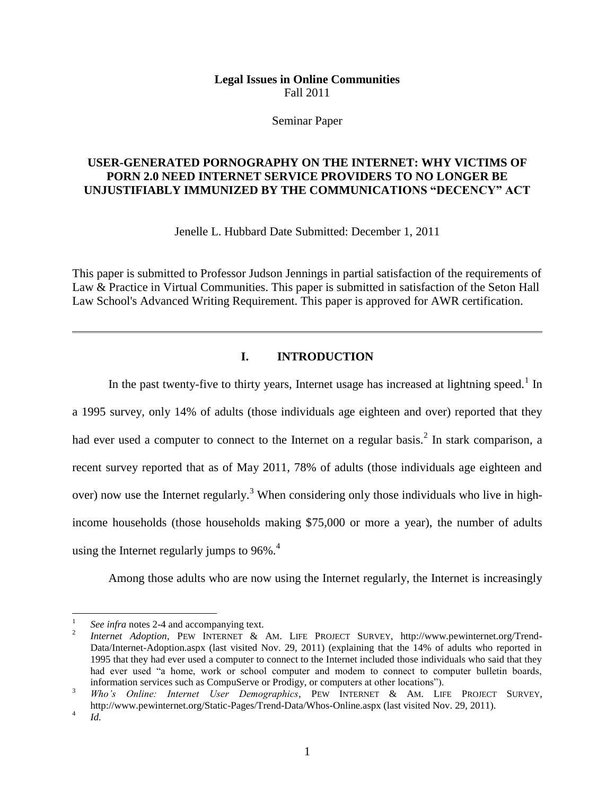## **Legal Issues in Online Communities** Fall 2011

#### Seminar Paper

# **USER-GENERATED PORNOGRAPHY ON THE INTERNET: WHY VICTIMS OF PORN 2.0 NEED INTERNET SERVICE PROVIDERS TO NO LONGER BE UNJUSTIFIABLY IMMUNIZED BY THE COMMUNICATIONS "DECENCY" ACT**

Jenelle L. Hubbard Date Submitted: December 1, 2011

This paper is submitted to Professor Judson Jennings in partial satisfaction of the requirements of Law & Practice in Virtual Communities. This paper is submitted in satisfaction of the Seton Hall Law School's Advanced Writing Requirement. This paper is approved for AWR certification.

# **I. INTRODUCTION**

In the past twenty-five to thirty years, Internet usage has increased at lightning speed.<sup>1</sup> In a 1995 survey, only 14% of adults (those individuals age eighteen and over) reported that they had ever used a computer to connect to the Internet on a regular basis.<sup>2</sup> In stark comparison, a recent survey reported that as of May 2011, 78% of adults (those individuals age eighteen and over) now use the Internet regularly.<sup>3</sup> When considering only those individuals who live in highincome households (those households making \$75,000 or more a year), the number of adults using the Internet regularly jumps to  $96\%$ <sup>4</sup>.

Among those adults who are now using the Internet regularly, the Internet is increasingly

<sup>1</sup> *See infra* notes 2-4 and accompanying text.

<sup>2</sup> *Internet Adoption*, PEW INTERNET & AM. LIFE PROJECT SURVEY, http://www.pewinternet.org/Trend-Data/Internet-Adoption.aspx (last visited Nov. 29, 2011) (explaining that the 14% of adults who reported in 1995 that they had ever used a computer to connect to the Internet included those individuals who said that they had ever used "a home, work or school computer and modem to connect to computer bulletin boards, information services such as CompuServe or Prodigy, or computers at other locations").

<sup>3</sup> *Who's Online: Internet User Demographics*, PEW INTERNET & AM. LIFE PROJECT SURVEY, http://www.pewinternet.org/Static-Pages/Trend-Data/Whos-Online.aspx (last visited Nov. 29, 2011).

<sup>4</sup> *Id.*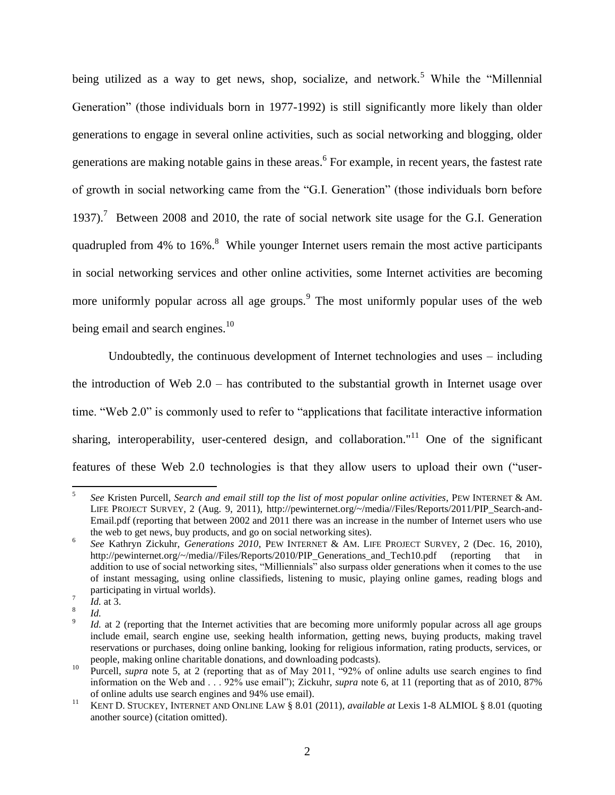being utilized as a way to get news, shop, socialize, and network.<sup>5</sup> While the "Millennial" Generation" (those individuals born in 1977-1992) is still significantly more likely than older generations to engage in several online activities, such as social networking and blogging, older generations are making notable gains in these areas. <sup>6</sup> For example, in recent years, the fastest rate of growth in social networking came from the "G.I. Generation" (those individuals born before 1937).<sup>7</sup> Between 2008 and 2010, the rate of social network site usage for the G.I. Generation quadrupled from 4% to 16%.<sup>8</sup> While younger Internet users remain the most active participants in social networking services and other online activities, some Internet activities are becoming more uniformly popular across all age groups.<sup>9</sup> The most uniformly popular uses of the web being email and search engines. $10$ 

Undoubtedly, the continuous development of Internet technologies and uses – including the introduction of Web 2.0 – has contributed to the substantial growth in Internet usage over time. "Web 2.0" is commonly used to refer to "applications that facilitate interactive information sharing, interoperability, user-centered design, and collaboration."<sup>11</sup> One of the significant features of these Web 2.0 technologies is that they allow users to upload their own ("user-

 5 *See* Kristen Purcell, *Search and email still top the list of most popular online activities*, PEW INTERNET & AM. LIFE PROJECT SURVEY, 2 (Aug. 9, 2011), http://pewinternet.org/~/media//Files/Reports/2011/PIP\_Search-and-Email.pdf (reporting that between 2002 and 2011 there was an increase in the number of Internet users who use the web to get news, buy products, and go on social networking sites).

<sup>6</sup> *See* Kathryn Zickuhr, *Generations 2010*, PEW INTERNET & AM. LIFE PROJECT SURVEY, 2 (Dec. 16, 2010), http://pewinternet.org/~/media//Files/Reports/2010/PIP Generations and Tech10.pdf (reporting that in addition to use of social networking sites, "Milliennials" also surpass older generations when it comes to the use of instant messaging, using online classifieds, listening to music, playing online games, reading blogs and participating in virtual worlds).

<sup>7</sup> *Id.* at 3.

<sup>8</sup> *Id.*

<sup>9</sup> *Id.* at 2 (reporting that the Internet activities that are becoming more uniformly popular across all age groups include email, search engine use, seeking health information, getting news, buying products, making travel reservations or purchases, doing online banking, looking for religious information, rating products, services, or people, making online charitable donations, and downloading podcasts).

<sup>&</sup>lt;sup>10</sup> Purcell, *supra* note 5, at 2 (reporting that as of May 2011, "92% of online adults use search engines to find information on the Web and . . . 92% use email"); Zickuhr, *supra* note 6, at 11 (reporting that as of 2010, 87% of online adults use search engines and 94% use email).

<sup>11</sup> KENT D. STUCKEY, INTERNET AND ONLINE LAW § 8.01 (2011), *available at* Lexis 1-8 ALMIOL § 8.01 (quoting another source) (citation omitted).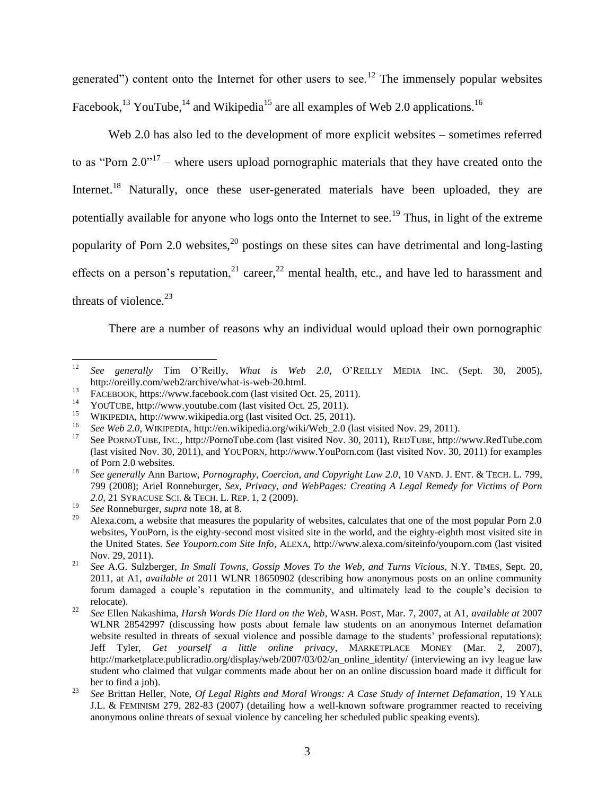generated") content onto the Internet for other users to see.<sup>12</sup> The immensely popular websites Facebook,<sup>13</sup> YouTube,<sup>14</sup> and Wikipedia<sup>15</sup> are all examples of Web 2.0 applications.<sup>16</sup>

Web 2.0 has also led to the development of more explicit websites – sometimes referred to as "Porn  $2.0$ "<sup>17</sup> – where users upload pornographic materials that they have created onto the Internet.<sup>18</sup> Naturally, once these user-generated materials have been uploaded, they are potentially available for anyone who logs onto the Internet to see.<sup>19</sup> Thus, in light of the extreme popularity of Porn 2.0 websites, $20$  postings on these sites can have detrimental and long-lasting effects on a person's reputation,  $2^{2}$  career,  $2^{2}$  mental health, etc., and have led to harassment and threats of violence. $^{23}$ 

There are a number of reasons why an individual would upload their own pornographic

<sup>12</sup> *See generally* Tim O'Reilly, *What is Web 2.0*, O'REILLY MEDIA INC. (Sept. 30, 2005), http://oreilly.com/web2/archive/what-is-web-20.html.

<sup>&</sup>lt;sup>13</sup> FACEBOOK, https://www.facebook.com (last visited Oct. 25, 2011).

<sup>&</sup>lt;sup>14</sup> YOUTUBE, http://www.youtube.com (last visited Oct. 25, 2011).

<sup>&</sup>lt;sup>15</sup> WIKIPEDIA, http://www.wikipedia.org (last visited Oct. 25, 2011).

<sup>16</sup> *See Web 2.0*, WIKIPEDIA, http://en.wikipedia.org/wiki/Web\_2.0 (last visited Nov. 29, 2011).

<sup>17</sup> See PORNOTUBE, INC., http://PornoTube.com (last visited Nov. 30, 2011), REDTUBE, http://www.RedTube.com (last visited Nov. 30, 2011), and YOUPORN, http://www.YouPorn.com (last visited Nov. 30, 2011) for examples of Porn 2.0 websites.

<sup>18</sup> *See generally* Ann Bartow, *Pornography, Coercion, and Copyright Law 2.0*, 10 VAND. J. ENT. & TECH. L. 799, 799 (2008); Ariel Ronneburger, *Sex, Privacy, and WebPages: Creating A Legal Remedy for Victims of Porn 2.0*, 21 SYRACUSE SCI. & TECH. L. REP. 1, 2 (2009).

<sup>19</sup> *See* Ronneburger, *supra* note 18, at 8.

<sup>20</sup> Alexa.com, a website that measures the popularity of websites, calculates that one of the most popular Porn 2.0 websites, YouPorn, is the eighty-second most visited site in the world, and the eighty-eighth most visited site in the United States. *See Youporn.com Site Info*, ALEXA, http://www.alexa.com/siteinfo/youporn.com (last visited Nov. 29, 2011).

<sup>21</sup> *See* A.G. Sulzberger, *In Small Towns, Gossip Moves To the Web, and Turns Vicious*, N.Y. TIMES, Sept. 20, 2011, at A1, *available at* 2011 WLNR 18650902 (describing how anonymous posts on an online community forum damaged a couple's reputation in the community, and ultimately lead to the couple's decision to relocate).

<sup>22</sup> *See* Ellen Nakashima, *Harsh Words Die Hard on the Web*, WASH. POST, Mar. 7, 2007, at A1, *available at* 2007 WLNR 28542997 (discussing how posts about female law students on an anonymous Internet defamation website resulted in threats of sexual violence and possible damage to the students' professional reputations); Jeff Tyler, *Get yourself a little online privacy*, MARKETPLACE MONEY (Mar. 2, 2007), http://marketplace.publicradio.org/display/web/2007/03/02/an\_online\_identity/ (interviewing an ivy league law student who claimed that vulgar comments made about her on an online discussion board made it difficult for her to find a job).

<sup>23</sup> *See* Brittan Heller, Note, *Of Legal Rights and Moral Wrongs: A Case Study of Internet Defamation*, 19 YALE J.L. & FEMINISM 279, 282-83 (2007) (detailing how a well-known software programmer reacted to receiving anonymous online threats of sexual violence by canceling her scheduled public speaking events).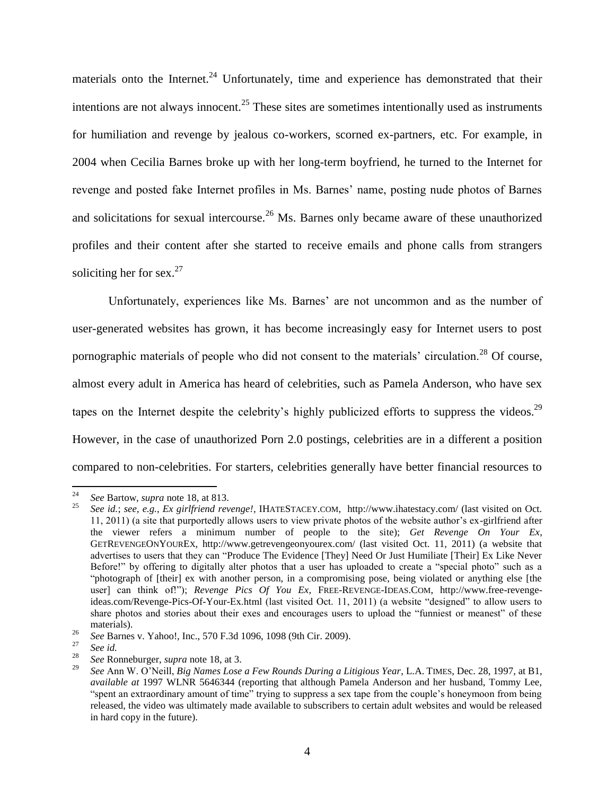materials onto the Internet.<sup>24</sup> Unfortunately, time and experience has demonstrated that their intentions are not always innocent.<sup>25</sup> These sites are sometimes intentionally used as instruments for humiliation and revenge by jealous co-workers, scorned ex-partners, etc. For example, in 2004 when Cecilia Barnes broke up with her long-term boyfriend, he turned to the Internet for revenge and posted fake Internet profiles in Ms. Barnes' name, posting nude photos of Barnes and solicitations for sexual intercourse.<sup>26</sup> Ms. Barnes only became aware of these unauthorized profiles and their content after she started to receive emails and phone calls from strangers soliciting her for sex. $27$ 

Unfortunately, experiences like Ms. Barnes' are not uncommon and as the number of user-generated websites has grown, it has become increasingly easy for Internet users to post pornographic materials of people who did not consent to the materials' circulation.<sup>28</sup> Of course, almost every adult in America has heard of celebrities, such as Pamela Anderson, who have sex tapes on the Internet despite the celebrity's highly publicized efforts to suppress the videos.<sup>29</sup> However, in the case of unauthorized Porn 2.0 postings, celebrities are in a different a position compared to non-celebrities. For starters, celebrities generally have better financial resources to

 $24$ <sup>24</sup> *See* Bartow, *supra* note 18, at 813.

<sup>25</sup> *See id.*; *see, e.g.*, *Ex girlfriend revenge!*, IHATESTACEY.COM, http://www.ihatestacy.com/ (last visited on Oct. 11, 2011) (a site that purportedly allows users to view private photos of the website author's ex-girlfriend after the viewer refers a minimum number of people to the site); *Get Revenge On Your Ex*, GETREVENGEONYOUREX, http://www.getrevengeonyourex.com/ (last visited Oct. 11, 2011) (a website that advertises to users that they can "Produce The Evidence [They] Need Or Just Humiliate [Their] Ex Like Never Before!" by offering to digitally alter photos that a user has uploaded to create a "special photo" such as a "photograph of [their] ex with another person, in a compromising pose, being violated or anything else [the user] can think of!"); *Revenge Pics Of You Ex*, FREE-REVENGE-IDEAS.COM, http://www.free-revengeideas.com/Revenge-Pics-Of-Your-Ex.html (last visited Oct. 11, 2011) (a website "designed" to allow users to share photos and stories about their exes and encourages users to upload the "funniest or meanest" of these materials).

<sup>&</sup>lt;sup>26</sup> *See* Barnes v. Yahoo!, Inc., 570 F.3d 1096, 1098 (9th Cir. 2009).

 $\frac{27}{28}$  *See id.* 

<sup>28</sup> *See* Ronneburger, *supra* note 18, at 3.

<sup>29</sup> *See* Ann W. O'Neill, *Big Names Lose a Few Rounds During a Litigious Year*, L.A. TIMES, Dec. 28, 1997, at B1, *available at* 1997 WLNR 5646344 (reporting that although Pamela Anderson and her husband, Tommy Lee, "spent an extraordinary amount of time" trying to suppress a sex tape from the couple's honeymoon from being released, the video was ultimately made available to subscribers to certain adult websites and would be released in hard copy in the future).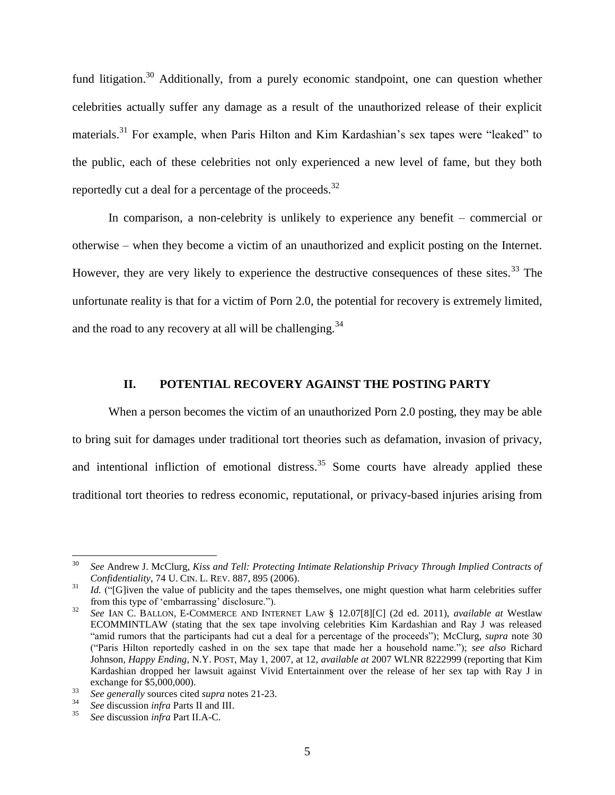fund litigation.<sup>30</sup> Additionally, from a purely economic standpoint, one can question whether celebrities actually suffer any damage as a result of the unauthorized release of their explicit materials.<sup>31</sup> For example, when Paris Hilton and Kim Kardashian's sex tapes were "leaked" to the public, each of these celebrities not only experienced a new level of fame, but they both reportedly cut a deal for a percentage of the proceeds.<sup>32</sup>

In comparison, a non-celebrity is unlikely to experience any benefit – commercial or otherwise – when they become a victim of an unauthorized and explicit posting on the Internet. However, they are very likely to experience the destructive consequences of these sites.<sup>33</sup> The unfortunate reality is that for a victim of Porn 2.0, the potential for recovery is extremely limited, and the road to any recovery at all will be challenging.<sup>34</sup>

## **II. POTENTIAL RECOVERY AGAINST THE POSTING PARTY**

When a person becomes the victim of an unauthorized Porn 2.0 posting, they may be able to bring suit for damages under traditional tort theories such as defamation, invasion of privacy, and intentional infliction of emotional distress.<sup>35</sup> Some courts have already applied these traditional tort theories to redress economic, reputational, or privacy-based injuries arising from

<sup>30</sup> <sup>30</sup> *See* Andrew J. McClurg, *Kiss and Tell: Protecting Intimate Relationship Privacy Through Implied Contracts of Confidentiality*, 74 U. CIN. L. REV. 887, 895 (2006).

<sup>&</sup>lt;sup>31</sup> *Id.* ("[G]iven the value of publicity and the tapes themselves, one might question what harm celebrities suffer from this type of 'embarrassing' disclosure.").

<sup>32</sup> *See* IAN C. BALLON, E-COMMERCE AND INTERNET LAW § 12.07[8][C] (2d ed. 2011), *available at* Westlaw ECOMMINTLAW (stating that the sex tape involving celebrities Kim Kardashian and Ray J was released "amid rumors that the participants had cut a deal for a percentage of the proceeds"); McClurg, *supra* note 30 ("Paris Hilton reportedly cashed in on the sex tape that made her a household name."); *see also* Richard Johnson, *Happy Ending*, N.Y. POST, May 1, 2007, at 12, *available at* 2007 WLNR 8222999 (reporting that Kim Kardashian dropped her lawsuit against Vivid Entertainment over the release of her sex tap with Ray J in exchange for \$5,000,000).

<sup>&</sup>lt;sup>33</sup> *See generally sources cited supra* notes 21-23.<br><sup>34</sup> See generally sources cited *supra* notes 21-23.

<sup>34</sup> *See* discussion *infra* Parts II and III.

<sup>35</sup> *See* discussion *infra* Part II.A-C.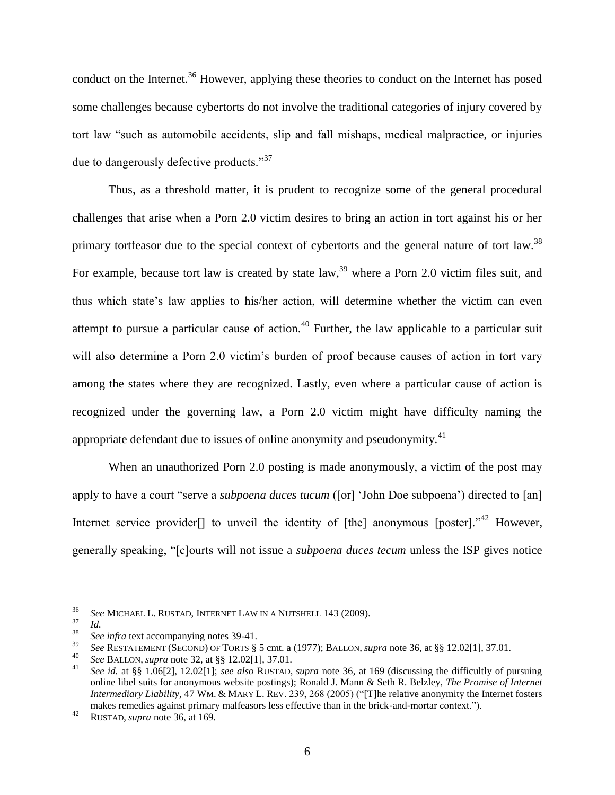conduct on the Internet.<sup>36</sup> However, applying these theories to conduct on the Internet has posed some challenges because cybertorts do not involve the traditional categories of injury covered by tort law "such as automobile accidents, slip and fall mishaps, medical malpractice, or injuries due to dangerously defective products."<sup>37</sup>

Thus, as a threshold matter, it is prudent to recognize some of the general procedural challenges that arise when a Porn 2.0 victim desires to bring an action in tort against his or her primary tortfeasor due to the special context of cybertorts and the general nature of tort law.<sup>38</sup> For example, because tort law is created by state law,  $39$  where a Porn 2.0 victim files suit, and thus which state's law applies to his/her action, will determine whether the victim can even attempt to pursue a particular cause of action.<sup>40</sup> Further, the law applicable to a particular suit will also determine a Porn 2.0 victim's burden of proof because causes of action in tort vary among the states where they are recognized. Lastly, even where a particular cause of action is recognized under the governing law, a Porn 2.0 victim might have difficulty naming the appropriate defendant due to issues of online anonymity and pseudonymity.<sup>41</sup>

When an unauthorized Porn 2.0 posting is made anonymously, a victim of the post may apply to have a court "serve a *subpoena duces tucum* ([or] 'John Doe subpoena') directed to [an] Internet service provider<sup>[]</sup> to unveil the identity of [the] anonymous [poster]."<sup>42</sup> However, generally speaking, "[c]ourts will not issue a *subpoena duces tecum* unless the ISP gives notice

<sup>36</sup> *See* MICHAEL L. RUSTAD, INTERNET LAW IN A NUTSHELL 143 (2009).

<sup>37</sup>  $\frac{37}{38}$  *Id.* 

<sup>38</sup> *See infra* text accompanying notes 39-41.

<sup>39</sup> *See* RESTATEMENT (SECOND) OF TORTS § 5 cmt. a (1977); BALLON, *supra* note 36, at §§ 12.02[1], 37.01.

<sup>40</sup> *See* BALLON, *supra* note 32, at §§ 12.02[1], 37.01.

<sup>41</sup> *See id.* at §§ 1.06[2], 12.02[1]; *see also* RUSTAD, *supra* note 36, at 169 (discussing the difficultly of pursuing online libel suits for anonymous website postings); Ronald J. Mann & Seth R. Belzley, *The Promise of Internet Intermediary Liability*, 47 WM. & MARY L. REV. 239, 268 (2005) ("[T]he relative anonymity the Internet fosters makes remedies against primary malfeasors less effective than in the brick-and-mortar context.").

<sup>42</sup> RUSTAD, *supra* note 36, at 169.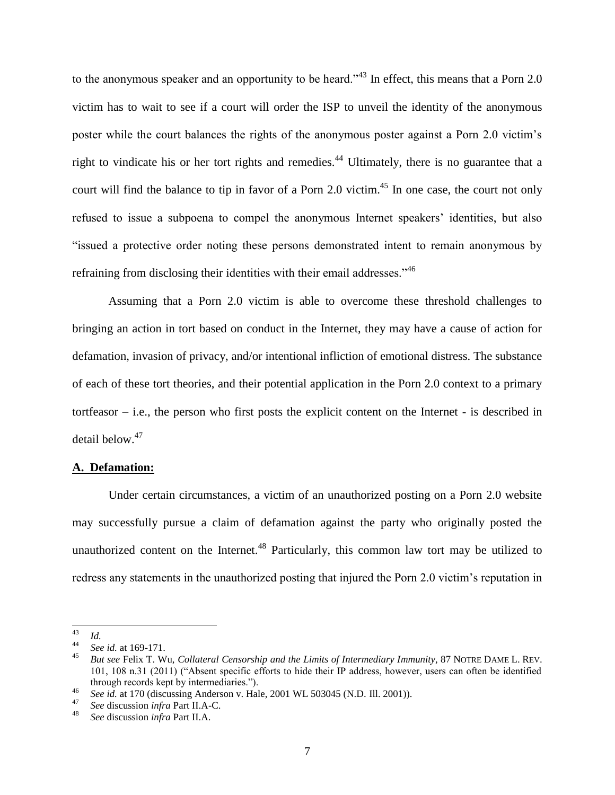to the anonymous speaker and an opportunity to be heard."<sup>43</sup> In effect, this means that a Porn 2.0 victim has to wait to see if a court will order the ISP to unveil the identity of the anonymous poster while the court balances the rights of the anonymous poster against a Porn 2.0 victim's right to vindicate his or her tort rights and remedies.<sup>44</sup> Ultimately, there is no guarantee that a court will find the balance to tip in favor of a Porn 2.0 victim.<sup>45</sup> In one case, the court not only refused to issue a subpoena to compel the anonymous Internet speakers' identities, but also "issued a protective order noting these persons demonstrated intent to remain anonymous by refraining from disclosing their identities with their email addresses."<sup>46</sup>

Assuming that a Porn 2.0 victim is able to overcome these threshold challenges to bringing an action in tort based on conduct in the Internet, they may have a cause of action for defamation, invasion of privacy, and/or intentional infliction of emotional distress. The substance of each of these tort theories, and their potential application in the Porn 2.0 context to a primary tortfeasor – i.e., the person who first posts the explicit content on the Internet - is described in detail below.<sup>47</sup>

#### **A. Defamation:**

Under certain circumstances, a victim of an unauthorized posting on a Porn 2.0 website may successfully pursue a claim of defamation against the party who originally posted the unauthorized content on the Internet.<sup>48</sup> Particularly, this common law tort may be utilized to redress any statements in the unauthorized posting that injured the Porn 2.0 victim's reputation in

<sup>43</sup>  $\frac{43}{44}$  *Id.* 

<sup>&</sup>lt;sup>44</sup> *See id.* at 169-171.

<sup>45</sup> *But see* Felix T. Wu, *Collateral Censorship and the Limits of Intermediary Immunity*, 87 NOTRE DAME L. REV. 101, 108 n.31 (2011) ("Absent specific efforts to hide their IP address, however, users can often be identified through records kept by intermediaries.").

<sup>&</sup>lt;sup>46</sup> *See id.* at 170 (discussing Anderson v. Hale, 2001 WL 503045 (N.D. Ill. 2001)).

<sup>47</sup> *See* discussion *infra* Part II.A-C.

<sup>48</sup> *See* discussion *infra* Part II.A.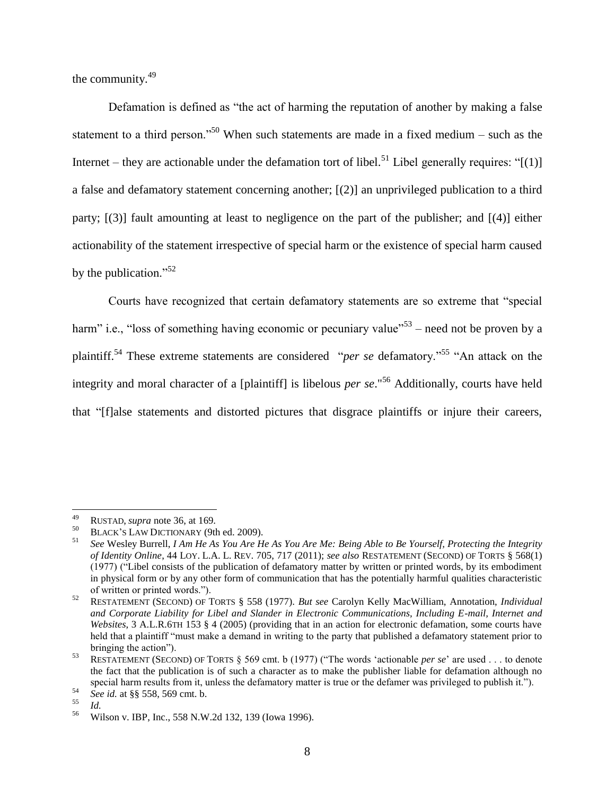the community.<sup>49</sup>

Defamation is defined as "the act of harming the reputation of another by making a false statement to a third person."<sup>50</sup> When such statements are made in a fixed medium – such as the Internet – they are actionable under the defamation tort of libel.<sup>51</sup> Libel generally requires: " $[(1)]$ a false and defamatory statement concerning another; [(2)] an unprivileged publication to a third party; [(3)] fault amounting at least to negligence on the part of the publisher; and [(4)] either actionability of the statement irrespective of special harm or the existence of special harm caused by the publication."<sup>52</sup>

Courts have recognized that certain defamatory statements are so extreme that "special harm" i.e., "loss of something having economic or pecuniary value"<sup>53</sup> – need not be proven by a plaintiff.<sup>54</sup> These extreme statements are considered "*per se* defamatory."<sup>55</sup> "An attack on the integrity and moral character of a [plaintiff] is libelous *per se*." <sup>56</sup> Additionally, courts have held that "[f]alse statements and distorted pictures that disgrace plaintiffs or injure their careers,

<sup>49</sup> <sup>49</sup> RUSTAD, *supra* note 36, at 169.

<sup>&</sup>lt;sup>50</sup> BLACK'S LAW DICTIONARY (9th ed. 2009).<br>
See Wesley Burrell, *LAm He As You Are H* 

<sup>51</sup> *See* Wesley Burrell, *I Am He As You Are He As You Are Me: Being Able to Be Yourself, Protecting the Integrity of Identity Online*, 44 LOY. L.A. L. REV. 705, 717 (2011); *see also* RESTATEMENT (SECOND) OF TORTS § 568(1) (1977) ("Libel consists of the publication of defamatory matter by written or printed words, by its embodiment in physical form or by any other form of communication that has the potentially harmful qualities characteristic of written or printed words.").

<sup>52</sup> RESTATEMENT (SECOND) OF TORTS § 558 (1977). *But see* Carolyn Kelly MacWilliam, Annotation, *Individual and Corporate Liability for Libel and Slander in Electronic Communications, Including E-mail, Internet and Websites*, 3 A.L.R.6TH 153 § 4 (2005) (providing that in an action for electronic defamation, some courts have held that a plaintiff "must make a demand in writing to the party that published a defamatory statement prior to bringing the action").

<sup>53</sup> RESTATEMENT (SECOND) OF TORTS § 569 cmt. b (1977) ("The words 'actionable *per se*' are used . . . to denote the fact that the publication is of such a character as to make the publisher liable for defamation although no special harm results from it, unless the defamatory matter is true or the defamer was privileged to publish it.").

<sup>54</sup> *See id.* at §§ 558, 569 cmt. b.

 $\frac{55}{56}$  *Id.* 

<sup>56</sup> Wilson v. IBP, Inc., 558 N.W.2d 132, 139 (Iowa 1996).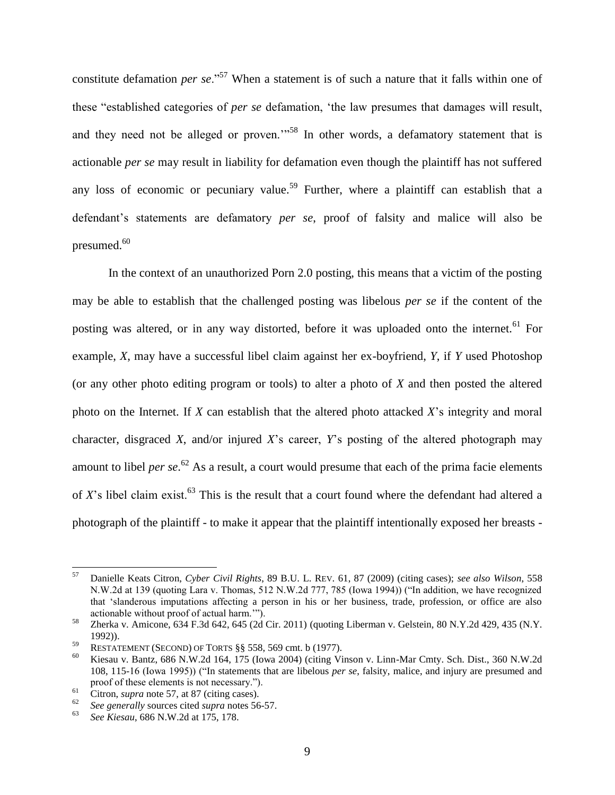constitute defamation *per se*."<sup>57</sup> When a statement is of such a nature that it falls within one of these "established categories of *per se* defamation, 'the law presumes that damages will result, and they need not be alleged or proven."<sup>58</sup> In other words, a defamatory statement that is actionable *per se* may result in liability for defamation even though the plaintiff has not suffered any loss of economic or pecuniary value.<sup>59</sup> Further, where a plaintiff can establish that a defendant's statements are defamatory *per se*, proof of falsity and malice will also be presumed.<sup>60</sup>

In the context of an unauthorized Porn 2.0 posting, this means that a victim of the posting may be able to establish that the challenged posting was libelous *per se* if the content of the posting was altered, or in any way distorted, before it was uploaded onto the internet.<sup>61</sup> For example, *X*, may have a successful libel claim against her ex-boyfriend, *Y*, if *Y* used Photoshop (or any other photo editing program or tools) to alter a photo of *X* and then posted the altered photo on the Internet. If *X* can establish that the altered photo attacked *X*'s integrity and moral character, disgraced *X*, and/or injured *X*'s career, *Y*'s posting of the altered photograph may amount to libel *per se*. <sup>62</sup> As a result, a court would presume that each of the prima facie elements of *X*'s libel claim exist.<sup>63</sup> This is the result that a court found where the defendant had altered a photograph of the plaintiff - to make it appear that the plaintiff intentionally exposed her breasts -

 $57\,$ <sup>57</sup> Danielle Keats Citron, *Cyber Civil Rights*, 89 B.U. L. REV. 61, 87 (2009) (citing cases); *see also Wilson*, 558 N.W.2d at 139 (quoting Lara v. Thomas, 512 N.W.2d 777, 785 (Iowa 1994)) ("In addition, we have recognized that 'slanderous imputations affecting a person in his or her business, trade, profession, or office are also actionable without proof of actual harm.'").

<sup>58</sup> Zherka v. Amicone, 634 F.3d 642, 645 (2d Cir. 2011) (quoting Liberman v. Gelstein*,* 80 N.Y.2d 429, 435 (N.Y. 1992)).

<sup>59</sup> RESTATEMENT (SECOND) OF TORTS  $\S$ § 558, 569 cmt. b (1977).

<sup>60</sup> Kiesau v. Bantz, 686 N.W.2d 164, 175 (Iowa 2004) (citing Vinson v. Linn-Mar Cmty. Sch. Dist., 360 N.W.2d 108, 115-16 (Iowa 1995)) ("In statements that are libelous *per se*, falsity, malice, and injury are presumed and proof of these elements is not necessary.").

<sup>&</sup>lt;sup>61</sup> Citron, *supra* note 57, at 87 (citing cases).

<sup>&</sup>lt;sup>62</sup> *See generally* sources cited *supra* notes 56-57.<br><sup>63</sup> *See Kinggu, 696 N W 2d et 175, 179* 

<sup>63</sup> *See Kiesau*, 686 N.W.2d at 175, 178.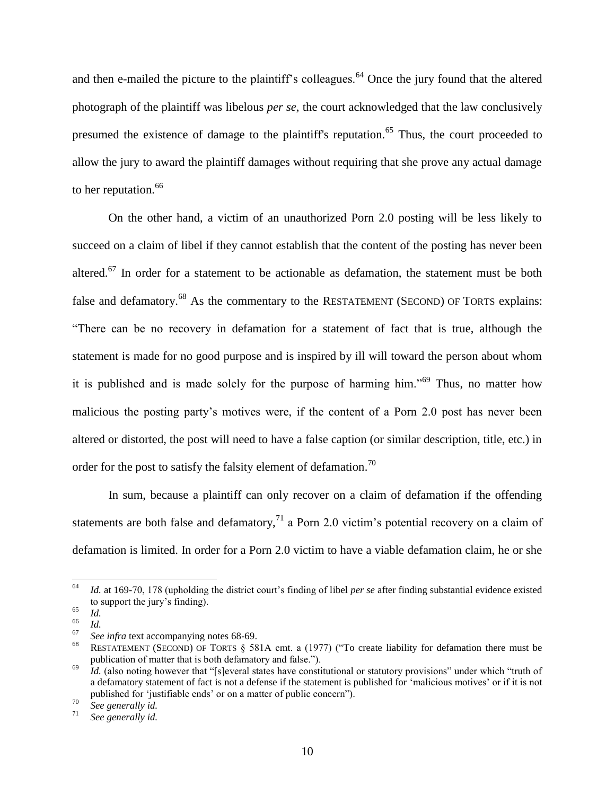and then e-mailed the picture to the plaintiff's colleagues.<sup>64</sup> Once the jury found that the altered photograph of the plaintiff was libelous *per se*, the court acknowledged that the law conclusively presumed the existence of damage to the plaintiff's reputation.<sup>65</sup> Thus, the court proceeded to allow the jury to award the plaintiff damages without requiring that she prove any actual damage to her reputation.<sup>66</sup>

On the other hand, a victim of an unauthorized Porn 2.0 posting will be less likely to succeed on a claim of libel if they cannot establish that the content of the posting has never been altered.<sup>67</sup> In order for a statement to be actionable as defamation, the statement must be both false and defamatory.<sup>68</sup> As the commentary to the RESTATEMENT (SECOND) OF TORTS explains: "There can be no recovery in defamation for a statement of fact that is true, although the statement is made for no good purpose and is inspired by ill will toward the person about whom it is published and is made solely for the purpose of harming him."<sup>69</sup> Thus, no matter how malicious the posting party's motives were, if the content of a Porn 2.0 post has never been altered or distorted, the post will need to have a false caption (or similar description, title, etc.) in order for the post to satisfy the falsity element of defamation.<sup>70</sup>

In sum, because a plaintiff can only recover on a claim of defamation if the offending statements are both false and defamatory, $^{71}$  a Porn 2.0 victim's potential recovery on a claim of defamation is limited. In order for a Porn 2.0 victim to have a viable defamation claim, he or she

<sup>64</sup> <sup>64</sup> *Id.* at 169-70, 178 (upholding the district court's finding of libel *per se* after finding substantial evidence existed to support the jury's finding).

 $\begin{array}{cc} 65 & Id. \\ 66 & 11 \end{array}$ 

 $\frac{66}{67}$  *Id.* 

<sup>67</sup> *See infra* text accompanying notes 68-69.

<sup>68</sup> RESTATEMENT (SECOND) OF TORTS § 581A cmt. a (1977) ("To create liability for defamation there must be publication of matter that is both defamatory and false.").

<sup>&</sup>lt;sup>69</sup> *Id.* (also noting however that "[s]everal states have constitutional or statutory provisions" under which "truth of a defamatory statement of fact is not a defense if the statement is published for 'malicious motives' or if it is not published for 'justifiable ends' or on a matter of public concern").

 $\frac{70}{71}$  *See generally id.* 

See generally id.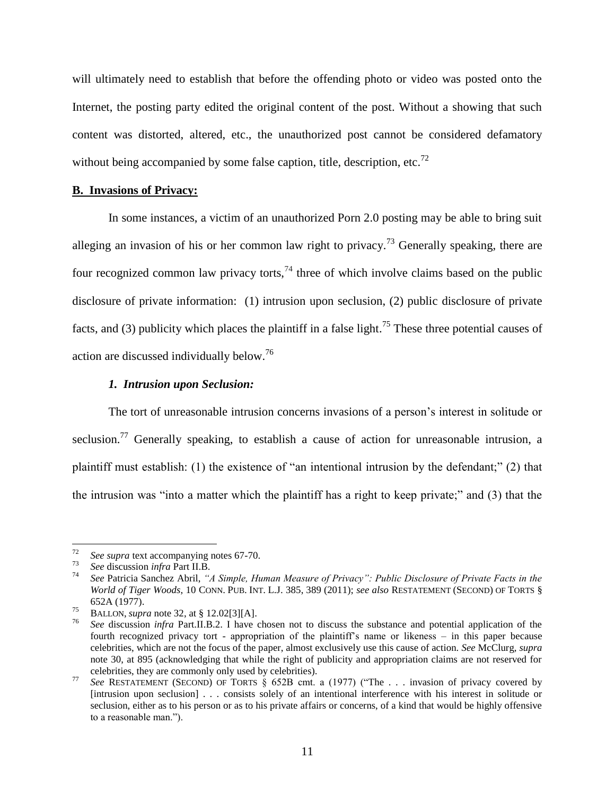will ultimately need to establish that before the offending photo or video was posted onto the Internet, the posting party edited the original content of the post. Without a showing that such content was distorted, altered, etc., the unauthorized post cannot be considered defamatory without being accompanied by some false caption, title, description, etc.<sup>72</sup>

#### **B. Invasions of Privacy:**

In some instances, a victim of an unauthorized Porn 2.0 posting may be able to bring suit alleging an invasion of his or her common law right to privacy.<sup>73</sup> Generally speaking, there are four recognized common law privacy torts,<sup>74</sup> three of which involve claims based on the public disclosure of private information: (1) intrusion upon seclusion, (2) public disclosure of private facts, and (3) publicity which places the plaintiff in a false light.<sup>75</sup> These three potential causes of action are discussed individually below.<sup>76</sup>

#### *1. Intrusion upon Seclusion:*

The tort of unreasonable intrusion concerns invasions of a person's interest in solitude or seclusion.<sup>77</sup> Generally speaking, to establish a cause of action for unreasonable intrusion, a plaintiff must establish: (1) the existence of "an intentional intrusion by the defendant;" (2) that the intrusion was "into a matter which the plaintiff has a right to keep private;" and (3) that the

<sup>72</sup> *See supra* text accompanying notes 67-70.

<sup>73</sup> *See* discussion *infra* Part II.B.

<sup>74</sup> *See* Patricia Sanchez Abril, *"A Simple, Human Measure of Privacy": Public Disclosure of Private Facts in the World of Tiger Woods*, 10 CONN. PUB. INT. L.J. 385, 389 (2011); *see also* RESTATEMENT (SECOND) OF TORTS § 652A (1977).

<sup>75</sup> BALLON, *supra* note 32, at § 12.02[3][A].

<sup>76</sup> *See* discussion *infra* Part.II.B.2. I have chosen not to discuss the substance and potential application of the fourth recognized privacy tort - appropriation of the plaintiff's name or likeness – in this paper because celebrities, which are not the focus of the paper, almost exclusively use this cause of action. *See* McClurg, *supra*  note 30, at 895 (acknowledging that while the right of publicity and appropriation claims are not reserved for celebrities, they are commonly only used by celebrities).

<sup>77</sup> *See* RESTATEMENT (SECOND) OF TORTS § 652B cmt. a (1977) ("The . . . invasion of privacy covered by [intrusion upon seclusion] . . . consists solely of an intentional interference with his interest in solitude or seclusion, either as to his person or as to his private affairs or concerns, of a kind that would be highly offensive to a reasonable man.").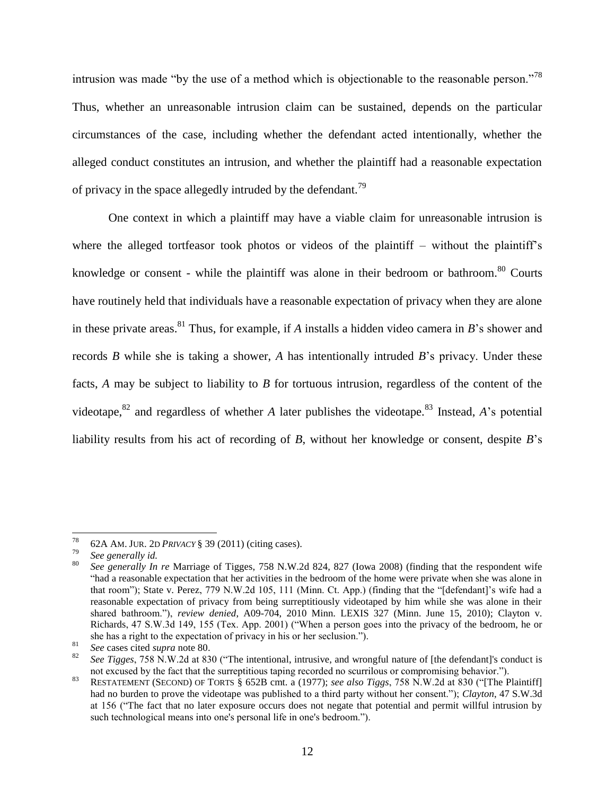intrusion was made "by the use of a method which is objectionable to the reasonable person."<sup>78</sup> Thus, whether an unreasonable intrusion claim can be sustained, depends on the particular circumstances of the case, including whether the defendant acted intentionally, whether the alleged conduct constitutes an intrusion, and whether the plaintiff had a reasonable expectation of privacy in the space allegedly intruded by the defendant.<sup>79</sup>

One context in which a plaintiff may have a viable claim for unreasonable intrusion is where the alleged tortfeasor took photos or videos of the plaintiff – without the plaintiff's knowledge or consent - while the plaintiff was alone in their bedroom or bathroom.<sup>80</sup> Courts have routinely held that individuals have a reasonable expectation of privacy when they are alone in these private areas.<sup>81</sup> Thus, for example, if *A* installs a hidden video camera in *B*'s shower and records *B* while she is taking a shower, *A* has intentionally intruded *B*'s privacy. Under these facts, *A* may be subject to liability to *B* for tortuous intrusion, regardless of the content of the videotape,  $82$  and regardless of whether *A* later publishes the videotape.<sup>83</sup> Instead, *A*'s potential liability results from his act of recording of *B*, without her knowledge or consent, despite *B*'s

 $^{78}$  62A AM. JUR. 2D *PRIVACY* § 39 (2011) (citing cases).

<sup>79</sup> *See generally id.*

<sup>80</sup> *See generally In re* Marriage of Tigges, 758 N.W.2d 824, 827 (Iowa 2008) (finding that the respondent wife "had a reasonable expectation that her activities in the bedroom of the home were private when she was alone in that room"); State v. Perez, 779 N.W.2d 105, 111 (Minn. Ct. App.) (finding that the "[defendant]'s wife had a reasonable expectation of privacy from being surreptitiously videotaped by him while she was alone in their shared bathroom."), *review denied*, A09-704, 2010 Minn. LEXIS 327 (Minn. June 15, 2010); Clayton v. Richards, 47 S.W.3d 149, 155 (Tex. App. 2001) ("When a person goes into the privacy of the bedroom, he or she has a right to the expectation of privacy in his or her seclusion.").

<sup>&</sup>lt;sup>81</sup> *See* cases cited *supra* note 80.

<sup>82</sup> *See Tigges*, 758 N.W.2d at 830 ("The intentional, intrusive, and wrongful nature of [the defendant]'s conduct is not excused by the fact that the surreptitious taping recorded no scurrilous or compromising behavior.").

<sup>83</sup> RESTATEMENT (SECOND) OF TORTS § 652B cmt. a (1977); *see also Tiggs*, 758 N.W.2d at 830 ("[The Plaintiff] had no burden to prove the videotape was published to a third party without her consent."); *Clayton*, 47 S.W.3d at 156 ("The fact that no later exposure occurs does not negate that potential and permit willful intrusion by such technological means into one's personal life in one's bedroom.").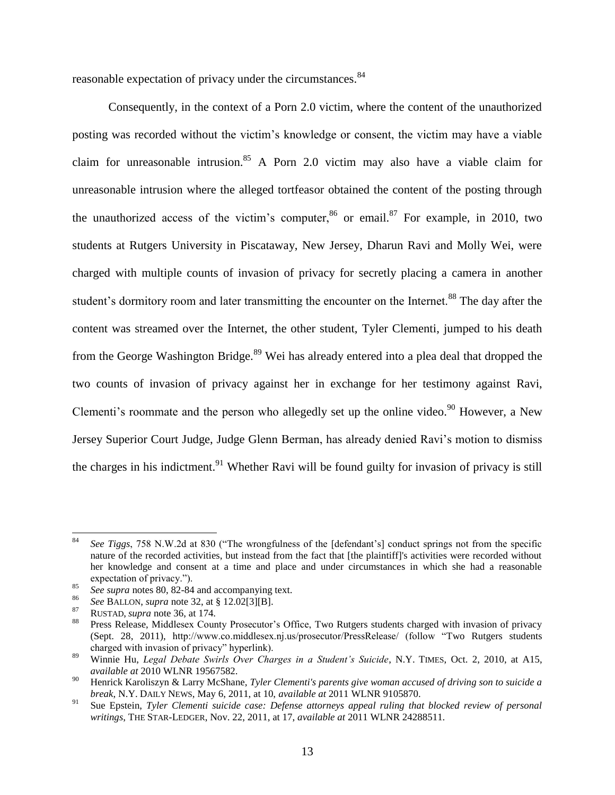reasonable expectation of privacy under the circumstances.<sup>84</sup>

Consequently, in the context of a Porn 2.0 victim, where the content of the unauthorized posting was recorded without the victim's knowledge or consent, the victim may have a viable claim for unreasonable intrusion.<sup>85</sup> A Porn 2.0 victim may also have a viable claim for unreasonable intrusion where the alleged tortfeasor obtained the content of the posting through the unauthorized access of the victim's computer,  $86$  or email.  $87$  For example, in 2010, two students at Rutgers University in Piscataway, New Jersey, Dharun Ravi and Molly Wei, were charged with multiple counts of invasion of privacy for secretly placing a camera in another student's dormitory room and later transmitting the encounter on the Internet.<sup>88</sup> The day after the content was streamed over the Internet, the other student, Tyler Clementi, jumped to his death from the George Washington Bridge.<sup>89</sup> Wei has already entered into a plea deal that dropped the two counts of invasion of privacy against her in exchange for her testimony against Ravi, Clementi's roommate and the person who allegedly set up the online video.<sup>90</sup> However, a New Jersey Superior Court Judge, Judge Glenn Berman, has already denied Ravi's motion to dismiss the charges in his indictment.<sup>91</sup> Whether Ravi will be found guilty for invasion of privacy is still

<sup>84</sup> *See Tiggs*, 758 N.W.2d at 830 ("The wrongfulness of the [defendant's] conduct springs not from the specific nature of the recorded activities, but instead from the fact that [the plaintiff]'s activities were recorded without her knowledge and consent at a time and place and under circumstances in which she had a reasonable expectation of privacy.").

 $^{85}$  *See supra* notes 80, 82-84 and accompanying text.

<sup>86</sup> *See* BALLON, *supra* note 32, at § 12.02[3][B].

<sup>87</sup> RUSTAD, *supra* note 36, at 174.

Press Release, Middlesex County Prosecutor's Office, Two Rutgers students charged with invasion of privacy (Sept. 28, 2011), http://www.co.middlesex.nj.us/prosecutor/PressRelease/ (follow "Two Rutgers students charged with invasion of privacy" hyperlink).

<sup>89</sup> Winnie Hu, *Legal Debate Swirls Over Charges in a Student's Suicide*, N.Y. TIMES, Oct. 2, 2010, at A15, *available at* 2010 WLNR 19567582.

<sup>90</sup> Henrick Karoliszyn & Larry McShane, *Tyler Clementi's parents give woman accused of driving son to suicide a break*, N.Y. DAILY NEWS, May 6, 2011, at 10, *available at* 2011 WLNR 9105870.

<sup>91</sup> Sue Epstein, *Tyler Clementi suicide case: Defense attorneys appeal ruling that blocked review of personal writings*, THE STAR-LEDGER, Nov. 22, 2011, at 17, *available at* 2011 WLNR 24288511.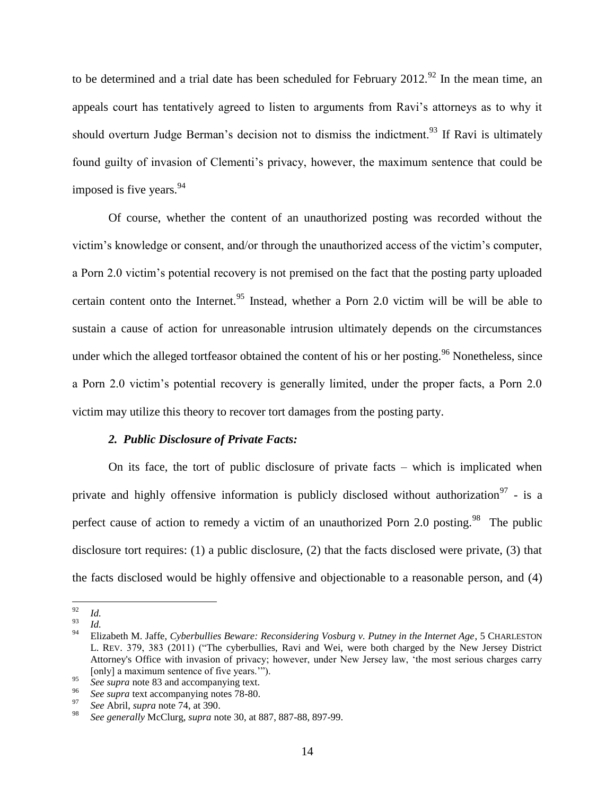to be determined and a trial date has been scheduled for February  $2012^{92}$  In the mean time, an appeals court has tentatively agreed to listen to arguments from Ravi's attorneys as to why it should overturn Judge Berman's decision not to dismiss the indictment.<sup>93</sup> If Ravi is ultimately found guilty of invasion of Clementi's privacy, however, the maximum sentence that could be imposed is five years.<sup>94</sup>

Of course, whether the content of an unauthorized posting was recorded without the victim's knowledge or consent, and/or through the unauthorized access of the victim's computer, a Porn 2.0 victim's potential recovery is not premised on the fact that the posting party uploaded certain content onto the Internet.<sup>95</sup> Instead, whether a Porn 2.0 victim will be will be able to sustain a cause of action for unreasonable intrusion ultimately depends on the circumstances under which the alleged tortfeasor obtained the content of his or her posting.<sup>96</sup> Nonetheless, since a Porn 2.0 victim's potential recovery is generally limited, under the proper facts, a Porn 2.0 victim may utilize this theory to recover tort damages from the posting party.

#### *2. Public Disclosure of Private Facts:*

On its face, the tort of public disclosure of private facts – which is implicated when private and highly offensive information is publicly disclosed without authorization<sup>97</sup> - is a perfect cause of action to remedy a victim of an unauthorized Porn 2.0 posting.<sup>98</sup> The public disclosure tort requires: (1) a public disclosure, (2) that the facts disclosed were private, (3) that the facts disclosed would be highly offensive and objectionable to a reasonable person, and (4)

<sup>92</sup>  $\frac{92}{93}$  *Id.* 

 $\frac{93}{94}$  *Id.* 

<sup>94</sup> Elizabeth M. Jaffe, *Cyberbullies Beware: Reconsidering Vosburg v. Putney in the Internet Age*, 5 CHARLESTON L. REV. 379, 383 (2011) ("The cyberbullies, Ravi and Wei, were both charged by the New Jersey District Attorney's Office with invasion of privacy; however, under New Jersey law, 'the most serious charges carry [only] a maximum sentence of five years.'").

<sup>95</sup> *See supra* note 83 and accompanying text.

<sup>&</sup>lt;sup>96</sup> *See supra* text accompanying notes 78-80.

<sup>97</sup> *See* Abril, *supra* note 74, at 390.

<sup>98</sup> *See generally* McClurg, *supra* note 30, at 887, 887-88, 897-99.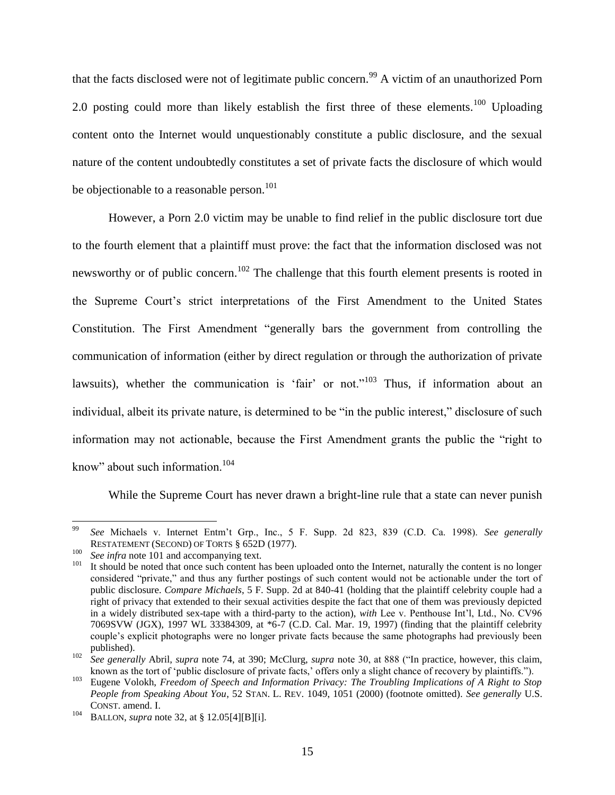that the facts disclosed were not of legitimate public concern.<sup>99</sup> A victim of an unauthorized Porn 2.0 posting could more than likely establish the first three of these elements.<sup>100</sup> Uploading content onto the Internet would unquestionably constitute a public disclosure, and the sexual nature of the content undoubtedly constitutes a set of private facts the disclosure of which would be objectionable to a reasonable person.<sup>101</sup>

However, a Porn 2.0 victim may be unable to find relief in the public disclosure tort due to the fourth element that a plaintiff must prove: the fact that the information disclosed was not newsworthy or of public concern.<sup>102</sup> The challenge that this fourth element presents is rooted in the Supreme Court's strict interpretations of the First Amendment to the United States Constitution. The First Amendment "generally bars the government from controlling the communication of information (either by direct regulation or through the authorization of private lawsuits), whether the communication is 'fair' or not."<sup>103</sup> Thus, if information about an individual, albeit its private nature, is determined to be "in the public interest," disclosure of such information may not actionable, because the First Amendment grants the public the "right to know" about such information.<sup>104</sup>

While the Supreme Court has never drawn a bright-line rule that a state can never punish

<sup>99</sup> <sup>99</sup> *See* Michaels v. Internet Entm't Grp., Inc., 5 F. Supp. 2d 823, 839 (C.D. Ca. 1998). *See generally* RESTATEMENT (SECOND) OF TORTS § 652D (1977).

<sup>100</sup> *See infra* note 101 and accompanying text.<br><sup>101</sup> It should be noted that accompanying text.

It should be noted that once such content has been uploaded onto the Internet, naturally the content is no longer considered "private," and thus any further postings of such content would not be actionable under the tort of public disclosure. *Compare Michaels*, 5 F. Supp. 2d at 840-41 (holding that the plaintiff celebrity couple had a right of privacy that extended to their sexual activities despite the fact that one of them was previously depicted in a widely distributed sex-tape with a third-party to the action), *with* Lee v. Penthouse Int'l, Ltd., No. CV96 7069SVW (JGX), 1997 WL 33384309, at \*6-7 (C.D. Cal. Mar. 19, 1997) (finding that the plaintiff celebrity couple's explicit photographs were no longer private facts because the same photographs had previously been published).

<sup>102</sup> *See generally* Abril, *supra* note 74, at 390; McClurg, *supra* note 30, at 888 ("In practice, however, this claim, known as the tort of 'public disclosure of private facts,' offers only a slight chance of recovery by plaintiffs.").

<sup>103</sup> Eugene Volokh, *Freedom of Speech and Information Privacy: The Troubling Implications of A Right to Stop People from Speaking About You*, 52 STAN. L. REV. 1049, 1051 (2000) (footnote omitted). *See generally* U.S. CONST. amend. I.

<sup>104</sup> BALLON, *supra* note 32, at § 12.05[4][B][i].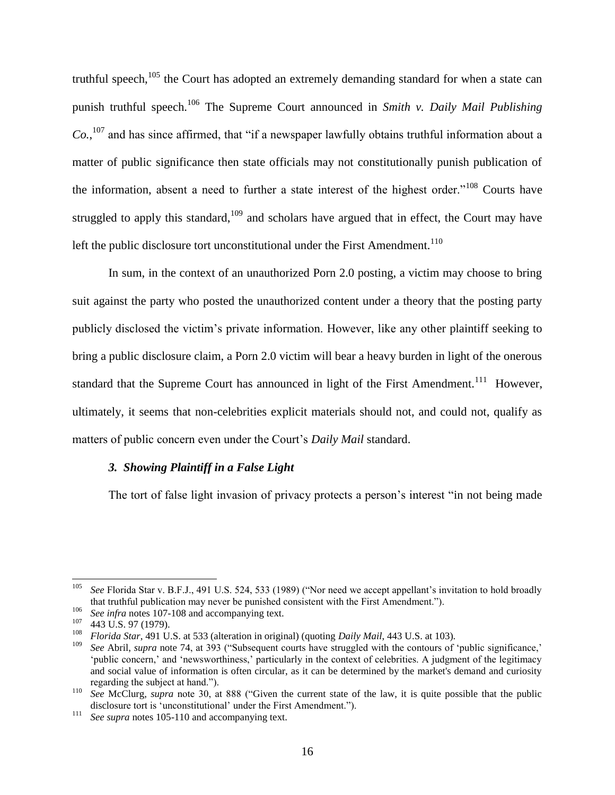truthful speech, $105$  the Court has adopted an extremely demanding standard for when a state can punish truthful speech.<sup>106</sup> The Supreme Court announced in *Smith v. Daily Mail Publishing*   $Co.$ <sup>107</sup> and has since affirmed, that "if a newspaper lawfully obtains truthful information about a matter of public significance then state officials may not constitutionally punish publication of the information, absent a need to further a state interest of the highest order."<sup>108</sup> Courts have struggled to apply this standard, $109$  and scholars have argued that in effect, the Court may have left the public disclosure tort unconstitutional under the First Amendment.<sup>110</sup>

In sum, in the context of an unauthorized Porn 2.0 posting, a victim may choose to bring suit against the party who posted the unauthorized content under a theory that the posting party publicly disclosed the victim's private information. However, like any other plaintiff seeking to bring a public disclosure claim, a Porn 2.0 victim will bear a heavy burden in light of the onerous standard that the Supreme Court has announced in light of the First Amendment.<sup>111</sup> However, ultimately, it seems that non-celebrities explicit materials should not, and could not, qualify as matters of public concern even under the Court's *Daily Mail* standard.

#### *3. Showing Plaintiff in a False Light*

The tort of false light invasion of privacy protects a person's interest "in not being made

 $105\,$ <sup>105</sup> *See* Florida Star v. B.F.J., 491 U.S. 524, 533 (1989) ("Nor need we accept appellant's invitation to hold broadly that truthful publication may never be punished consistent with the First Amendment.").

<sup>&</sup>lt;sup>106</sup> *See infra* notes 107-108 and accompanying text.<br><sup>107</sup> - 442 U.S. 07 (1070).

 $^{107}$  443 U.S. 97 (1979).

<sup>108</sup> *Florida Star*, 491 U.S. at 533 (alteration in original) (quoting *Daily Mail*, 443 U.S. at 103).

<sup>109</sup> *See* Abril, *supra* note 74, at 393 ("Subsequent courts have struggled with the contours of 'public significance,' 'public concern,' and 'newsworthiness,' particularly in the context of celebrities. A judgment of the legitimacy and social value of information is often circular, as it can be determined by the market's demand and curiosity regarding the subject at hand.").

<sup>110</sup> *See* McClurg, *supra* note 30, at 888 ("Given the current state of the law, it is quite possible that the public disclosure tort is 'unconstitutional' under the First Amendment.").

<sup>111</sup> *See supra* notes 105-110 and accompanying text.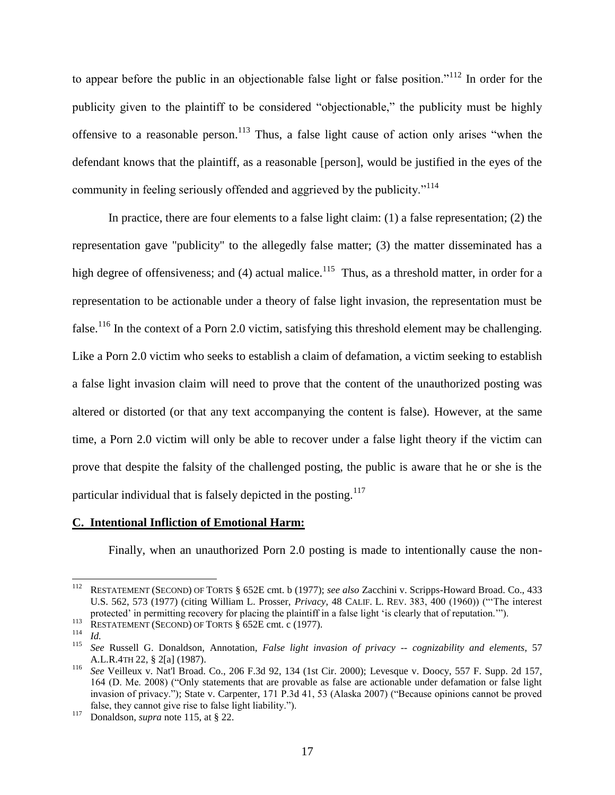to appear before the public in an objectionable false light or false position."<sup>112</sup> In order for the publicity given to the plaintiff to be considered "objectionable," the publicity must be highly offensive to a reasonable person.<sup>113</sup> Thus, a false light cause of action only arises "when the defendant knows that the plaintiff, as a reasonable [person], would be justified in the eyes of the community in feeling seriously offended and aggrieved by the publicity."<sup>114</sup>

In practice, there are four elements to a false light claim: (1) a false representation; (2) the representation gave "publicity" to the allegedly false matter; (3) the matter disseminated has a high degree of offensiveness; and (4) actual malice.<sup>115</sup> Thus, as a threshold matter, in order for a representation to be actionable under a theory of false light invasion, the representation must be false.<sup>116</sup> In the context of a Porn 2.0 victim, satisfying this threshold element may be challenging. Like a Porn 2.0 victim who seeks to establish a claim of defamation, a victim seeking to establish a false light invasion claim will need to prove that the content of the unauthorized posting was altered or distorted (or that any text accompanying the content is false). However, at the same time, a Porn 2.0 victim will only be able to recover under a false light theory if the victim can prove that despite the falsity of the challenged posting, the public is aware that he or she is the particular individual that is falsely depicted in the posting.<sup>117</sup>

#### **C. Intentional Infliction of Emotional Harm:**

Finally, when an unauthorized Porn 2.0 posting is made to intentionally cause the non-

 $\overline{\phantom{a}}$ <sup>112</sup> RESTATEMENT (SECOND) OF TORTS § 652E cmt. b (1977); *see also* Zacchini v. Scripps-Howard Broad. Co., 433 U.S. 562, 573 (1977) (citing William L. Prosser, *Privacy*, 48 CALIF. L. REV. 383, 400 (1960)) ("'The interest protected' in permitting recovery for placing the plaintiff in a false light 'is clearly that of reputation.'").

<sup>113</sup> RESTATEMENT (SECOND) OF TORTS § 652E cmt. c (1977).

 $\frac{114}{115}$  *Id.* 

<sup>115</sup> *See* Russell G. Donaldson, Annotation, *False light invasion of privacy -- cognizability and elements*, 57 A.L.R.4TH 22, § 2[a] (1987).

<sup>116</sup> *See* Veilleux v. Nat'l Broad. Co., 206 F.3d 92, 134 (1st Cir. 2000); Levesque v. Doocy, 557 F. Supp. 2d 157, 164 (D. Me. 2008) ("Only statements that are provable as false are actionable under defamation or false light invasion of privacy."); State v. Carpenter, 171 P.3d 41, 53 (Alaska 2007) ("Because opinions cannot be proved false, they cannot give rise to false light liability.").

<sup>&</sup>lt;sup>117</sup> Donaldson, *supra* note 115, at § 22.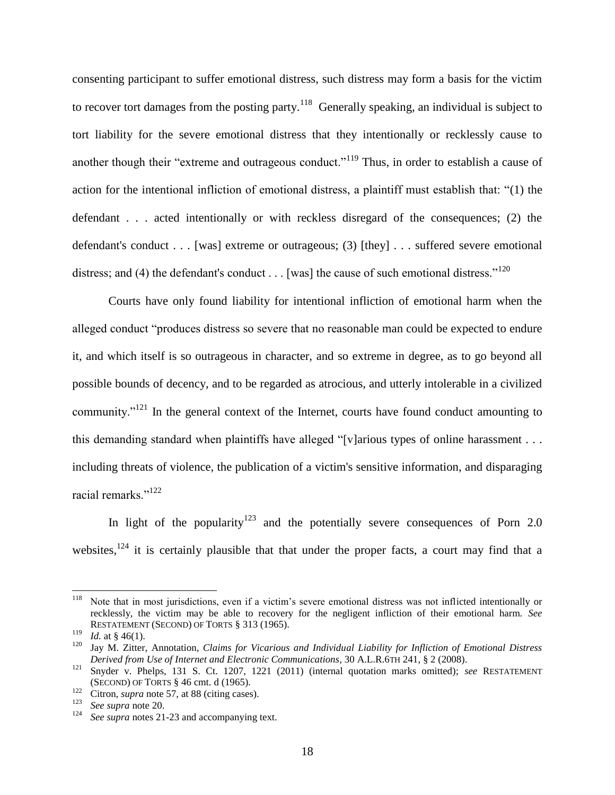consenting participant to suffer emotional distress, such distress may form a basis for the victim to recover tort damages from the posting party.<sup>118</sup> Generally speaking, an individual is subject to tort liability for the severe emotional distress that they intentionally or recklessly cause to another though their "extreme and outrageous conduct."<sup>119</sup> Thus, in order to establish a cause of action for the intentional infliction of emotional distress, a plaintiff must establish that: "(1) the defendant . . . acted intentionally or with reckless disregard of the consequences; (2) the defendant's conduct . . . [was] extreme or outrageous; (3) [they] . . . suffered severe emotional distress; and (4) the defendant's conduct  $\dots$  [was] the cause of such emotional distress."<sup>120</sup>

Courts have only found liability for intentional infliction of emotional harm when the alleged conduct "produces distress so severe that no reasonable man could be expected to endure it, and which itself is so outrageous in character, and so extreme in degree, as to go beyond all possible bounds of decency, and to be regarded as atrocious, and utterly intolerable in a civilized community."<sup>121</sup> In the general context of the Internet, courts have found conduct amounting to this demanding standard when plaintiffs have alleged "[v]arious types of online harassment . . . including threats of violence, the publication of a victim's sensitive information, and disparaging racial remarks."<sup>122</sup>

In light of the popularity<sup>123</sup> and the potentially severe consequences of Porn 2.0 websites, $124$  it is certainly plausible that that under the proper facts, a court may find that a

<sup>118</sup> Note that in most jurisdictions, even if a victim's severe emotional distress was not inflicted intentionally or recklessly, the victim may be able to recovery for the negligent infliction of their emotional harm. *See* RESTATEMENT (SECOND) OF TORTS § 313 (1965).

<sup>&</sup>lt;sup>119</sup> *Id.* at § 46(1).

<sup>120</sup> Jay M. Zitter, Annotation, *Claims for Vicarious and Individual Liability for Infliction of Emotional Distress Derived from Use of Internet and Electronic Communications*, 30 A.L.R.6TH 241, § 2 (2008).

<sup>121</sup> Snyder v. Phelps, 131 S. Ct. 1207, 1221 (2011) (internal quotation marks omitted); *see* RESTATEMENT (SECOND) OF TORTS § 46 cmt. d (1965).

<sup>122</sup> Citron, *supra* note 57, at 88 (citing cases).<br><sup>123</sup> Citron, *supra* note 57, at 88 (citing cases).

 $\frac{123}{124}$  *See supra* note 20.

See *supra* notes 21-23 and accompanying text.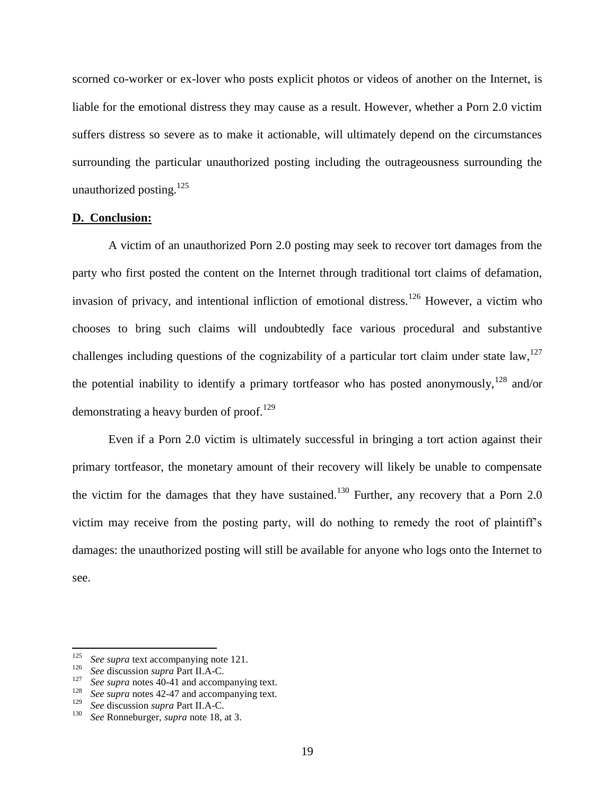scorned co-worker or ex-lover who posts explicit photos or videos of another on the Internet, is liable for the emotional distress they may cause as a result. However, whether a Porn 2.0 victim suffers distress so severe as to make it actionable, will ultimately depend on the circumstances surrounding the particular unauthorized posting including the outrageousness surrounding the unauthorized posting. $^{125}$ 

#### **D. Conclusion:**

A victim of an unauthorized Porn 2.0 posting may seek to recover tort damages from the party who first posted the content on the Internet through traditional tort claims of defamation, invasion of privacy, and intentional infliction of emotional distress.<sup>126</sup> However, a victim who chooses to bring such claims will undoubtedly face various procedural and substantive challenges including questions of the cognizability of a particular tort claim under state law,  $127$ the potential inability to identify a primary tortfeasor who has posted anonymously,  $128$  and/or demonstrating a heavy burden of proof.<sup>129</sup>

Even if a Porn 2.0 victim is ultimately successful in bringing a tort action against their primary tortfeasor, the monetary amount of their recovery will likely be unable to compensate the victim for the damages that they have sustained.<sup>130</sup> Further, any recovery that a Porn 2.0 victim may receive from the posting party, will do nothing to remedy the root of plaintiff's damages: the unauthorized posting will still be available for anyone who logs onto the Internet to see.

<sup>125</sup> <sup>125</sup> *See supra* text accompanying note 121.

<sup>126</sup> *See* discussion *supra* Part II.A-C.

<sup>&</sup>lt;sup>127</sup> *See supra* notes 40-41 and accompanying text.<br><sup>128</sup> See supra potes 42.47 and accompanying text.

<sup>&</sup>lt;sup>128</sup> *See supra* notes 42-47 and accompanying text.

<sup>&</sup>lt;sup>129</sup> *See* discussion *supra* Part II.A-C.<br><sup>130</sup> See Ponnoburgor, supra note 18

<sup>130</sup> *See* Ronneburger, *supra* note 18, at 3.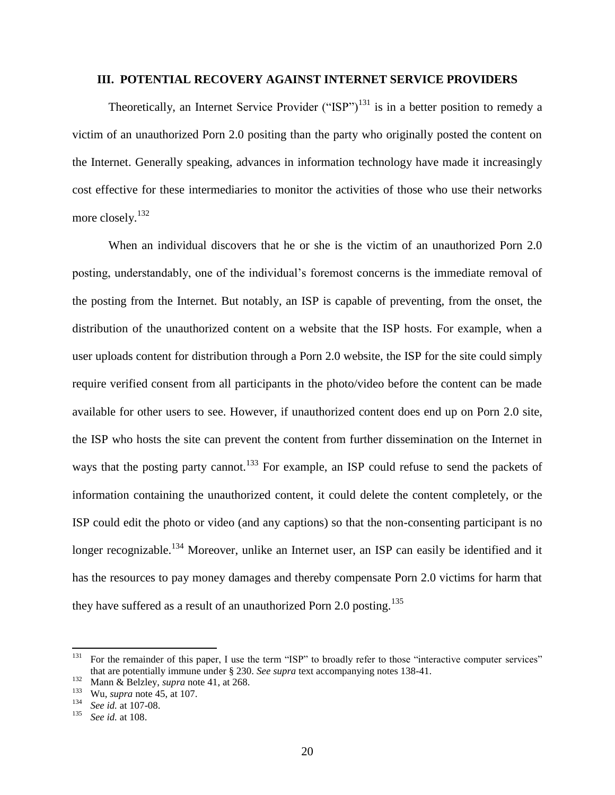## **III. POTENTIAL RECOVERY AGAINST INTERNET SERVICE PROVIDERS**

Theoretically, an Internet Service Provider ("ISP")<sup>131</sup> is in a better position to remedy a victim of an unauthorized Porn 2.0 positing than the party who originally posted the content on the Internet. Generally speaking, advances in information technology have made it increasingly cost effective for these intermediaries to monitor the activities of those who use their networks more closely.<sup>132</sup>

When an individual discovers that he or she is the victim of an unauthorized Porn 2.0 posting, understandably, one of the individual's foremost concerns is the immediate removal of the posting from the Internet. But notably, an ISP is capable of preventing, from the onset, the distribution of the unauthorized content on a website that the ISP hosts. For example, when a user uploads content for distribution through a Porn 2.0 website, the ISP for the site could simply require verified consent from all participants in the photo/video before the content can be made available for other users to see. However, if unauthorized content does end up on Porn 2.0 site, the ISP who hosts the site can prevent the content from further dissemination on the Internet in ways that the posting party cannot.<sup>133</sup> For example, an ISP could refuse to send the packets of information containing the unauthorized content, it could delete the content completely, or the ISP could edit the photo or video (and any captions) so that the non-consenting participant is no longer recognizable.<sup>134</sup> Moreover, unlike an Internet user, an ISP can easily be identified and it has the resources to pay money damages and thereby compensate Porn 2.0 victims for harm that they have suffered as a result of an unauthorized Porn 2.0 posting.<sup>135</sup>

<sup>131</sup> For the remainder of this paper, I use the term "ISP" to broadly refer to those "interactive computer services" that are potentially immune under § 230. *See supra* text accompanying notes 138-41.

 $\frac{132}{132}$  Mann & Belzley, *supra* note 41, at 268.

<sup>&</sup>lt;sup>133</sup> Wu, *supra* note 45, at 107.

<sup>&</sup>lt;sup>134</sup> *See id.* at 107-08.<br><sup>135</sup> *See id.* at 108

<sup>135</sup> *See id.* at 108.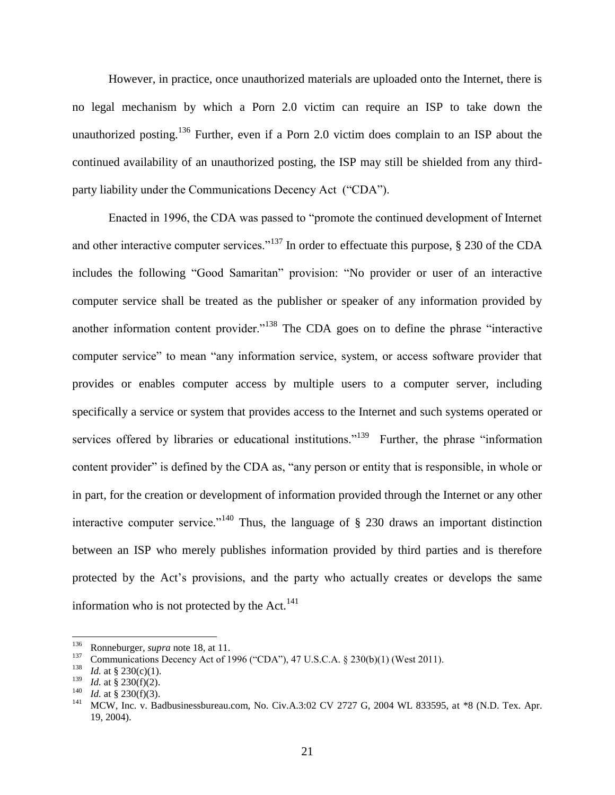However, in practice, once unauthorized materials are uploaded onto the Internet, there is no legal mechanism by which a Porn 2.0 victim can require an ISP to take down the unauthorized posting.<sup>136</sup> Further, even if a Porn 2.0 victim does complain to an ISP about the continued availability of an unauthorized posting, the ISP may still be shielded from any thirdparty liability under the Communications Decency Act ("CDA").

Enacted in 1996, the CDA was passed to "promote the continued development of Internet and other interactive computer services."<sup>137</sup> In order to effectuate this purpose, § 230 of the CDA includes the following "Good Samaritan" provision: "No provider or user of an interactive computer service shall be treated as the publisher or speaker of any information provided by another information content provider."<sup>138</sup> The CDA goes on to define the phrase "interactive computer service" to mean "any information service, system, or access software provider that provides or enables computer access by multiple users to a computer server, including specifically a service or system that provides access to the Internet and such systems operated or services offered by libraries or educational institutions."<sup>139</sup> Further, the phrase "information" content provider" is defined by the CDA as, "any person or entity that is responsible, in whole or in part, for the creation or development of information provided through the Internet or any other interactive computer service."<sup>140</sup> Thus, the language of  $\S$  230 draws an important distinction between an ISP who merely publishes information provided by third parties and is therefore protected by the Act's provisions, and the party who actually creates or develops the same information who is not protected by the Act. $^{141}$ 

<sup>136</sup> <sup>136</sup> Ronneburger, *supra* note 18, at 11.

<sup>137</sup> <sup>137</sup> Communications Decency Act of 1996 ("CDA"), 47 U.S.C.A. § 230(b)(1) (West 2011).

*Id.* at § 230(c)(1).

<sup>139</sup> *Id.* at § 230(f)(2).

<sup>&</sup>lt;sup>140</sup> *Id.* at § 230(f)(3).

<sup>141</sup> MCW, Inc. v. Badbusinessbureau.com, No. Civ.A.3:02 CV 2727 G, 2004 WL 833595, at \*8 (N.D. Tex. Apr. 19, 2004).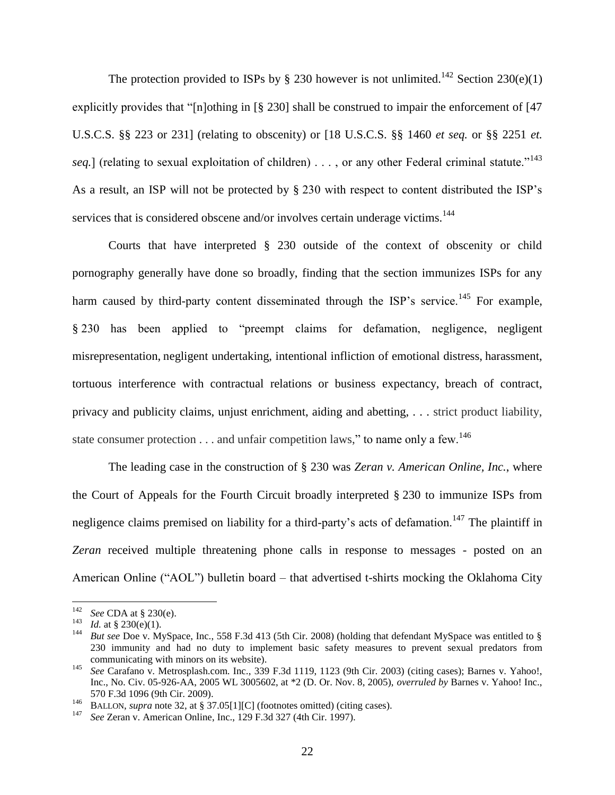The protection provided to ISPs by  $\S$  230 however is not unlimited.<sup>142</sup> Section 230(e)(1) explicitly provides that "[n]othing in [§ 230] shall be construed to impair the enforcement of [47 U.S.C.S. §§ 223 or 231] (relating to obscenity) or [18 U.S.C.S. §§ 1460 *et seq.* or §§ 2251 *et. seq.*] (relating to sexual exploitation of children)  $\ldots$ , or any other Federal criminal statute.<sup>"143</sup> As a result, an ISP will not be protected by § 230 with respect to content distributed the ISP's services that is considered obscene and/or involves certain underage victims.<sup>144</sup>

Courts that have interpreted § 230 outside of the context of obscenity or child pornography generally have done so broadly, finding that the section immunizes ISPs for any harm caused by third-party content disseminated through the ISP's service.<sup>145</sup> For example, § 230 has been applied to "preempt claims for defamation, negligence, negligent misrepresentation, negligent undertaking, intentional infliction of emotional distress, harassment, tortuous interference with contractual relations or business expectancy, breach of contract, privacy and publicity claims, unjust enrichment, aiding and abetting, . . . strict product liability, state consumer protection  $\dots$  and unfair competition laws," to name only a few.<sup>146</sup>

The leading case in the construction of § 230 was *Zeran v. American Online, Inc.*, where the Court of Appeals for the Fourth Circuit broadly interpreted § 230 to immunize ISPs from negligence claims premised on liability for a third-party's acts of defamation.<sup>147</sup> The plaintiff in *Zeran* received multiple threatening phone calls in response to messages - posted on an American Online ("AOL") bulletin board – that advertised t-shirts mocking the Oklahoma City

<sup>142</sup> <sup>142</sup> *See* CDA at § 230(e).

<sup>&</sup>lt;sup>143</sup> *Id.* at § 230(e)(1).<br><sup>144</sup> **Put see Doo y.** My

<sup>144</sup> *But see* Doe v. MySpace, Inc., 558 F.3d 413 (5th Cir. 2008) (holding that defendant MySpace was entitled to § 230 immunity and had no duty to implement basic safety measures to prevent sexual predators from communicating with minors on its website).

<sup>145</sup> *See* Carafano v. Metrosplash.com. Inc., 339 F.3d 1119, 1123 (9th Cir. 2003) (citing cases); Barnes v. Yahoo!, Inc., No. Civ. 05-926-AA, 2005 WL 3005602, at \*2 (D. Or. Nov. 8, 2005), *overruled by* Barnes v. Yahoo! Inc., 570 F.3d 1096 (9th Cir. 2009).

<sup>&</sup>lt;sup>146</sup> BALLON, *supra* note 32, at § 37.05[1][C] (footnotes omitted) (citing cases).<br><sup>147</sup> See Zaran y. American Online, Inc. 120 E 3d 327 (4th Cir. 1007).

<sup>147</sup> *See* Zeran v. American Online, Inc., 129 F.3d 327 (4th Cir. 1997).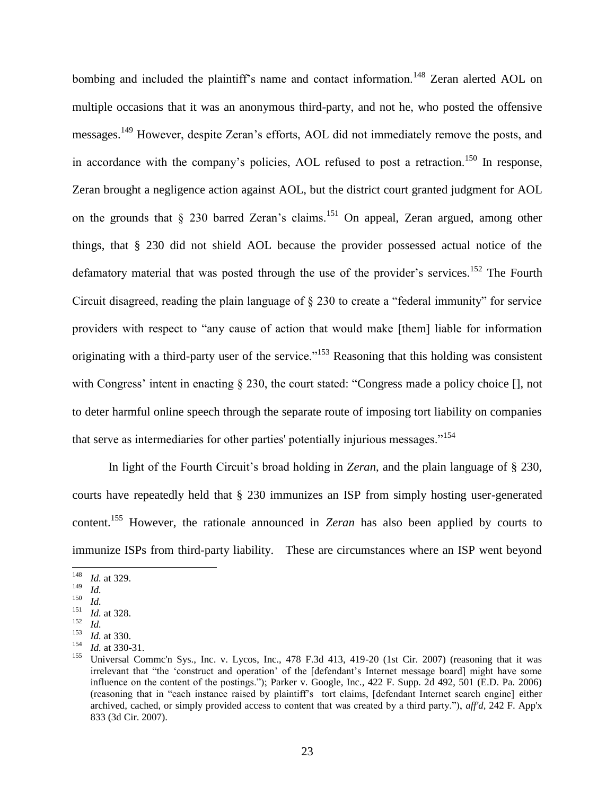bombing and included the plaintiff's name and contact information.<sup>148</sup> Zeran alerted AOL on multiple occasions that it was an anonymous third-party, and not he, who posted the offensive messages.<sup>149</sup> However, despite Zeran's efforts, AOL did not immediately remove the posts, and in accordance with the company's policies, AOL refused to post a retraction.<sup>150</sup> In response, Zeran brought a negligence action against AOL, but the district court granted judgment for AOL on the grounds that  $\S$  230 barred Zeran's claims.<sup>151</sup> On appeal, Zeran argued, among other things, that § 230 did not shield AOL because the provider possessed actual notice of the defamatory material that was posted through the use of the provider's services.<sup>152</sup> The Fourth Circuit disagreed, reading the plain language of § 230 to create a "federal immunity" for service providers with respect to "any cause of action that would make [them] liable for information originating with a third-party user of the service."<sup>153</sup> Reasoning that this holding was consistent with Congress' intent in enacting § 230, the court stated: "Congress made a policy choice [], not to deter harmful online speech through the separate route of imposing tort liability on companies that serve as intermediaries for other parties' potentially injurious messages."<sup>154</sup>

In light of the Fourth Circuit's broad holding in *Zeran*, and the plain language of § 230, courts have repeatedly held that § 230 immunizes an ISP from simply hosting user-generated content.<sup>155</sup> However, the rationale announced in *Zeran* has also been applied by courts to immunize ISPs from third-party liability. These are circumstances where an ISP went beyond

 $148\,$  $\frac{148}{149}$  *Id.* at 329.

 $\frac{149}{150}$  *Id.* 

 $\frac{150}{151}$  *Id.* 

*Id.* at 328. 152

 $\frac{152}{153}$  *Id.* 

 $\frac{153}{154}$  *Id.* at 330.

 $\frac{154}{155}$  *Id.* at 330-31. <sup>155</sup> Universal Commc'n Sys., Inc. v. Lycos, Inc., 478 F.3d 413, 419-20 (1st Cir. 2007) (reasoning that it was irrelevant that "the 'construct and operation' of the [defendant's Internet message board] might have some influence on the content of the postings."); Parker v. Google, Inc., 422 F. Supp. 2d 492, 501 (E.D. Pa. 2006) (reasoning that in "each instance raised by plaintiff's tort claims, [defendant Internet search engine] either archived, cached, or simply provided access to content that was created by a third party."), *aff'd,* 242 F. App'x 833 (3d Cir. 2007).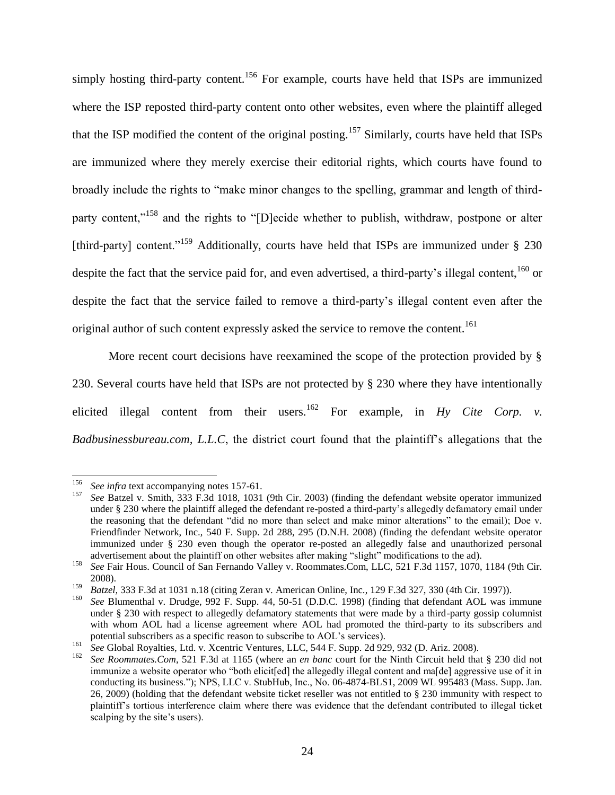simply hosting third-party content.<sup>156</sup> For example, courts have held that ISPs are immunized where the ISP reposted third-party content onto other websites, even where the plaintiff alleged that the ISP modified the content of the original posting.<sup>157</sup> Similarly, courts have held that ISPs are immunized where they merely exercise their editorial rights, which courts have found to broadly include the rights to "make minor changes to the spelling, grammar and length of thirdparty content,"<sup>158</sup> and the rights to "[D]ecide whether to publish, withdraw, postpone or alter [third-party] content."<sup>159</sup> Additionally, courts have held that ISPs are immunized under § 230 despite the fact that the service paid for, and even advertised, a third-party's illegal content,<sup>160</sup> or despite the fact that the service failed to remove a third-party's illegal content even after the original author of such content expressly asked the service to remove the content.<sup>161</sup>

More recent court decisions have reexamined the scope of the protection provided by § 230. Several courts have held that ISPs are not protected by § 230 where they have intentionally elicited illegal content from their users.<sup>162</sup> For example, in  $Hy$  *Cite Corp. v. Badbusinessbureau.com, L.L.C*, the district court found that the plaintiff's allegations that the

 $\overline{\phantom{a}}$ <sup>156</sup> *See infra* text accompanying notes 157-61.

<sup>157</sup> *See* Batzel v. Smith, 333 F.3d 1018, 1031 (9th Cir. 2003) (finding the defendant website operator immunized under § 230 where the plaintiff alleged the defendant re-posted a third-party's allegedly defamatory email under the reasoning that the defendant "did no more than select and make minor alterations" to the email); Doe v. Friendfinder Network, Inc., 540 F. Supp. 2d 288, 295 (D.N.H. 2008) (finding the defendant website operator immunized under § 230 even though the operator re-posted an allegedly false and unauthorized personal advertisement about the plaintiff on other websites after making "slight" modifications to the ad).

<sup>158</sup> *See* Fair Hous. Council of San Fernando Valley v. Roommates.Com, LLC, 521 F.3d 1157, 1070, 1184 (9th Cir. 2008).

<sup>159</sup> *Batzel*, 333 F.3d at 1031 n.18 (citing Zeran v. American Online, Inc., 129 F.3d 327, 330 (4th Cir. 1997)).

<sup>160</sup> *See* Blumenthal v. Drudge, 992 F. Supp. 44, 50-51 (D.D.C. 1998) (finding that defendant AOL was immune under § 230 with respect to allegedly defamatory statements that were made by a third-party gossip columnist with whom AOL had a license agreement where AOL had promoted the third-party to its subscribers and potential subscribers as a specific reason to subscribe to AOL's services).

<sup>&</sup>lt;sup>161</sup> See Global Royalties, Ltd. v. Xcentric Ventures, LLC, 544 F. Supp. 2d 929, 932 (D. Ariz. 2008).

<sup>162</sup> *See Roommates.Com*, 521 F.3d at 1165 (where an *en banc* court for the Ninth Circuit held that § 230 did not immunize a website operator who "both elicit[ed] the allegedly illegal content and ma[de] aggressive use of it in conducting its business."); NPS, LLC v. StubHub, Inc., No. 06-4874-BLS1, 2009 WL 995483 (Mass. Supp. Jan. 26, 2009) (holding that the defendant website ticket reseller was not entitled to § 230 immunity with respect to plaintiff's tortious interference claim where there was evidence that the defendant contributed to illegal ticket scalping by the site's users).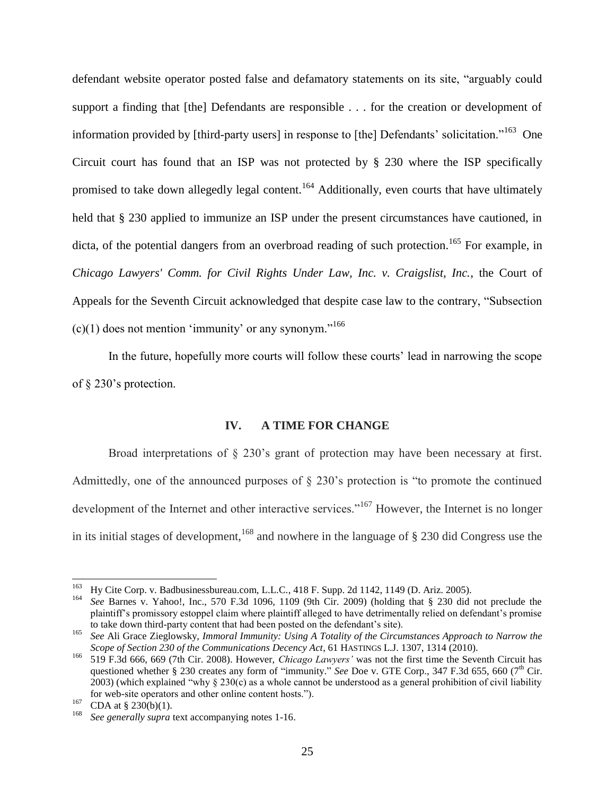defendant website operator posted false and defamatory statements on its site, "arguably could support a finding that [the] Defendants are responsible . . . for the creation or development of information provided by [third-party users] in response to [the] Defendants' solicitation."<sup>163</sup> One Circuit court has found that an ISP was not protected by § 230 where the ISP specifically promised to take down allegedly legal content.<sup>164</sup> Additionally, even courts that have ultimately held that § 230 applied to immunize an ISP under the present circumstances have cautioned, in dicta, of the potential dangers from an overbroad reading of such protection.<sup>165</sup> For example, in *Chicago Lawyers' Comm. for Civil Rights Under Law, Inc. v. Craigslist, Inc.*, the Court of Appeals for the Seventh Circuit acknowledged that despite case law to the contrary, "Subsection  $(c)(1)$  does not mention 'immunity' or any synonym."<sup>166</sup>

In the future, hopefully more courts will follow these courts' lead in narrowing the scope of § 230's protection.

## **IV. A TIME FOR CHANGE**

Broad interpretations of § 230's grant of protection may have been necessary at first. Admittedly, one of the announced purposes of § 230's protection is "to promote the continued development of the Internet and other interactive services."<sup>167</sup> However, the Internet is no longer in its initial stages of development,<sup>168</sup> and nowhere in the language of  $\S$  230 did Congress use the

<sup>163</sup> <sup>163</sup> Hy Cite Corp. v. Badbusinessbureau.com, L.L.C., 418 F. Supp. 2d 1142, 1149 (D. Ariz. 2005).<br><sup>164</sup> See Bernes v. Nebool, Inc., 570, E.3d 1006, 1100, (0th Cir., 2000), (bolding that  $\frac{8}{3}$ , 220, did

<sup>164</sup> *See* Barnes v. Yahoo!, Inc., 570 F.3d 1096, 1109 (9th Cir. 2009) (holding that § 230 did not preclude the plaintiff's promissory estoppel claim where plaintiff alleged to have detrimentally relied on defendant's promise to take down third-party content that had been posted on the defendant's site).

<sup>165</sup> *See* Ali Grace Zieglowsky, *Immoral Immunity: Using A Totality of the Circumstances Approach to Narrow the Scope of Section 230 of the Communications Decency Act*, 61 HASTINGS L.J. 1307, 1314 (2010).

<sup>166</sup> 519 F.3d 666, 669 (7th Cir. 2008). However, *Chicago Lawyers'* was not the first time the Seventh Circuit has questioned whether § 230 creates any form of "immunity." *See* Doe v. GTE Corp., 347 F.3d 655, 660 (7<sup>th</sup> Cir. 2003) (which explained "why  $\S 230(c)$  as a whole cannot be understood as a general prohibition of civil liability for web-site operators and other online content hosts.").

 $^{167}$  CDA at § 230(b)(1).

See generally supra text accompanying notes 1-16.